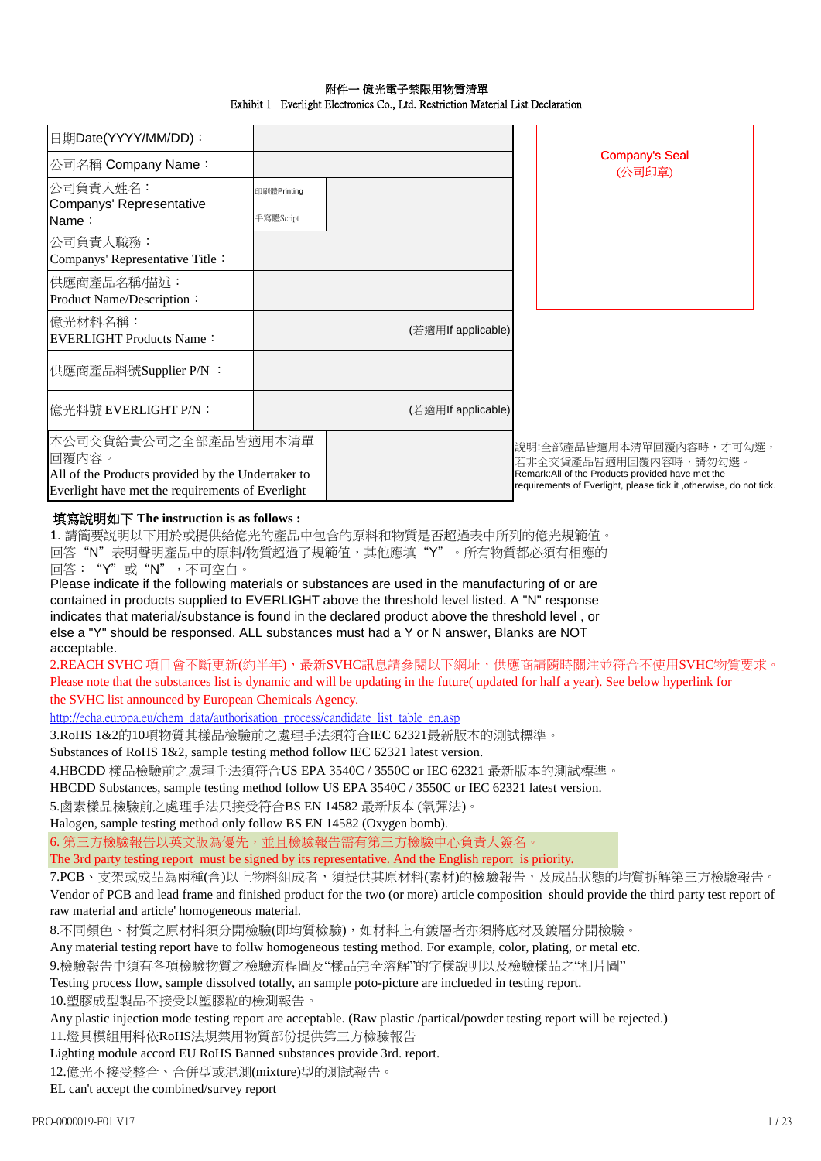| 日期Date(YYYY/MM/DD):                                                                                                                    |             |                    |                                                                                                                                                                               |
|----------------------------------------------------------------------------------------------------------------------------------------|-------------|--------------------|-------------------------------------------------------------------------------------------------------------------------------------------------------------------------------|
| 公司名稱 Company Name:                                                                                                                     |             |                    | <b>Company's Seal</b><br>(公司印章)                                                                                                                                               |
| 公司負責人姓名:                                                                                                                               | 印刷體Printing |                    |                                                                                                                                                                               |
| Companys' Representative<br>Name:                                                                                                      | 手寫體Script   |                    |                                                                                                                                                                               |
| 公司負責人職務:<br>Companys' Representative Title:                                                                                            |             |                    |                                                                                                                                                                               |
| 供應商產品名稱/描述:<br>Product Name/Description:                                                                                               |             |                    |                                                                                                                                                                               |
| 億光材料名稱:<br>EVERLIGHT Products Name:                                                                                                    |             | (若適用If applicable) |                                                                                                                                                                               |
| 供應商產品料號Supplier P/N :                                                                                                                  |             |                    |                                                                                                                                                                               |
| 億光料號 EVERLIGHT P/N:                                                                                                                    |             | (若適用If applicable) |                                                                                                                                                                               |
| 本公司交貨給貴公司之全部產品皆適用本清單<br>回覆内容。<br>All of the Products provided by the Undertaker to<br>Everlight have met the requirements of Everlight |             |                    | 說明:全部產品皆適用本清單回覆內容時,才可勾選,<br>若非全交貨產品皆適用回覆內容時,請勿勾選。<br>Remark: All of the Products provided have met the<br>requirements of Everlight, please tick it , otherwise, do not tick. |

## 附件一 億光電子禁限用物質清單 Exhibit 1 Everlight Electronics Co., Ltd. Restriction Material List Declaration

## 填寫說明如下 **The instruction is as follows :**

1. 請簡要説明以下用於或提供給億光的產品中包含的原料和物質是否超過表中所列的億光規範值。 回答"N"表明聲明產品中的原料/物質超過了規範值,其他應填"Y"。所有物質都必須有相應的 回答:"Y"或"N",不可空白。

Please indicate if the following materials or substances are used in the manufacturing of or are contained in products supplied to EVERLIGHT above the threshold level listed. A "N" response indicates that material/substance is found in the declared product above the threshold level , or else a "Y" should be responsed. ALL substances must had a Y or N answer, Blanks are NOT acceptable.

2.REACH SVHC 項目會不斷更新(約半年),最新SVHC訊息請參閱以下網址,供應商請隨時關注並符合不使用SVHC物質要求。 Please note that the substances list is dynamic and will be updating in the future( updated for half a year). See below hyperlink for the SVHC list announced by European Chemicals Agency.

http://echa.europa.eu/chem\_data/authorisation\_process/candidate\_list\_table\_en.asp

3.RoHS 1&2的10項物質其樣品檢驗前之處理手法須符合IEC 62321最新版本的測試標準。

Substances of RoHS 1&2, sample testing method follow IEC 62321 latest version.

4.HBCDD 樣品檢驗前之處理手法須符合US EPA 3540C / 3550C or IEC 62321 最新版本的測試標準。

HBCDD Substances, sample testing method follow US EPA 3540C / 3550C or IEC 62321 latest version.

5.鹵素樣品檢驗前之處理手法只接受符合BS EN 14582 最新版本 (氧彈法)。

Halogen, sample testing method only follow BS EN 14582 (Oxygen bomb).

6. 第三方檢驗報告以英文版為優先,並且檢驗報告需有第三方檢驗中心負責人簽名。

The 3rd party testing report must be signed by its representative. And the English report is priority.

7.PCB、支架或成品為兩種(含)以上物料組成者,須提供其原材料(素材)的檢驗報告,及成品狀態的均質拆解第三方檢驗報告。 Vendor of PCB and lead frame and finished product for the two (or more) article composition should provide the third party test report of raw material and article' homogeneous material.

8.不同顏色、材質之原材料須分開檢驗(即均質檢驗),如材料上有鍍層者亦須將底材及鍍層分開檢驗。

Any material testing report have to follw homogeneous testing method. For example, color, plating, or metal etc.

9.檢驗報告中須有各項檢驗物質之檢驗流程圖及"樣品完全溶解"的字樣說明以及檢驗樣品之"相片圖"

Testing process flow, sample dissolved totally, an sample poto-picture are inclueded in testing report.

10.塑膠成型製品不接受以塑膠粒的檢測報告。

Any plastic injection mode testing report are acceptable. (Raw plastic /partical/powder testing report will be rejected.)

11.燈具模組用料依RoHS法規禁用物質部份提供第三方檢驗報告

Lighting module accord EU RoHS Banned substances provide 3rd. report.

12.億光不接受整合、合併型或混測(mixture)型的測試報告。

EL can't accept the combined/survey report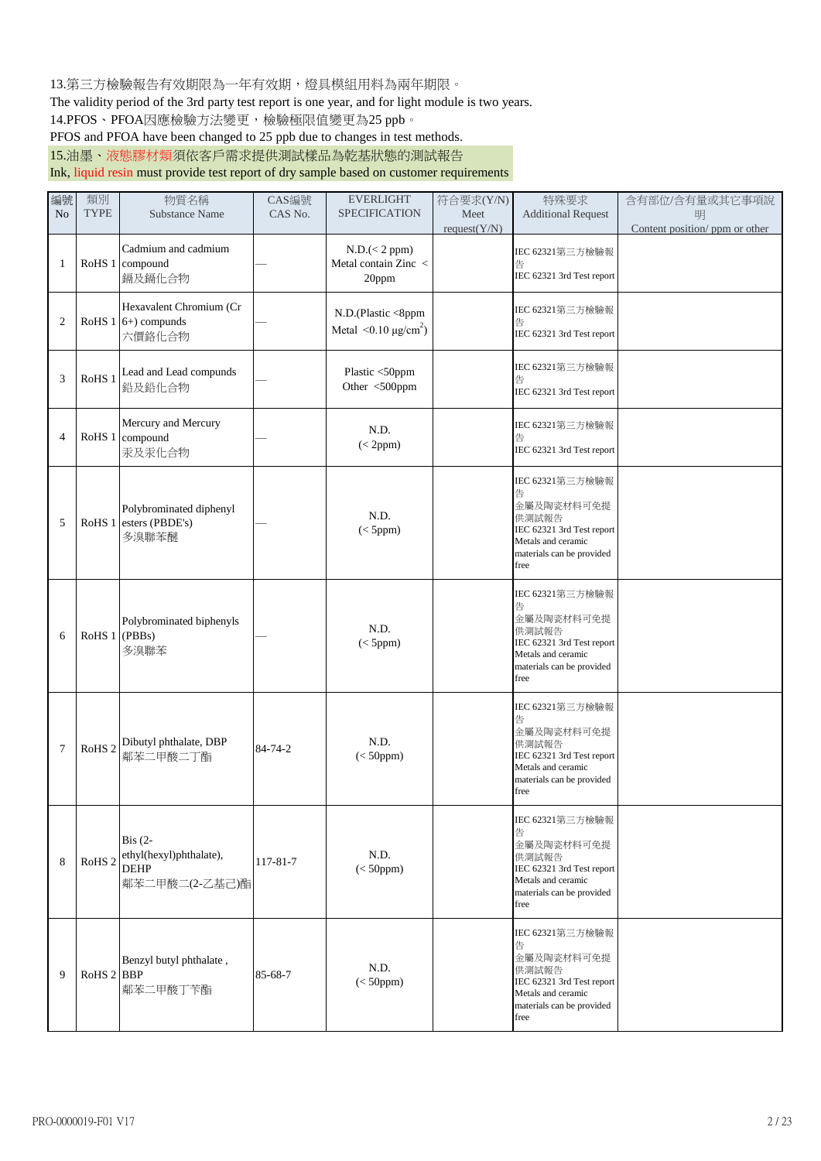13.第三方檢驗報告有效期限為一年有效期,燈具模組用料為兩年期限。

The validity period of the 3rd party test report is one year, and for light module is two years.

14.PFOS、PFOA因應檢驗方法變更,檢驗極限值變更為25 ppb。

PFOS and PFOA have been changed to 25 ppb due to changes in test methods.

15.油墨、液態膠材類須依客戶需求提供測試樣品為乾基狀態的測試報告

Ink, liquid resin must provide test report of dry sample based on customer requirements

| 編號<br>N <sub>o</sub> | 類別<br><b>TYPE</b> | 物質名稱<br><b>Substance Name</b>                                                        | CAS編號<br>CAS No. | <b>EVERLIGHT</b><br><b>SPECIFICATION</b>                  | 符合要求(Y/N)<br>Meet<br>request(Y/N) | 特殊要求<br><b>Additional Request</b>                                                                                                   | 含有部位/含有量或其它事項說<br>明<br>Content position/ ppm or other |
|----------------------|-------------------|--------------------------------------------------------------------------------------|------------------|-----------------------------------------------------------|-----------------------------------|-------------------------------------------------------------------------------------------------------------------------------------|-------------------------------------------------------|
| 1                    |                   | Cadmium and cadmium<br>RoHS 1 compound<br>鎘及鎘化合物                                     |                  | N.D. (< 2 ppm)<br>Metal contain Zinc <<br>20ppm           |                                   | IEC 62321第三方檢驗報<br>告<br>IEC 62321 3rd Test report                                                                                   |                                                       |
| $\overline{2}$       |                   | Hexavalent Chromium (Cr<br>RoHS $1 6+$ ) compunds<br>六價鉻化合物                          |                  | N.D.(Plastic <8ppm<br>Metal $\leq 0.10 \text{ µg/cm}^2$ ) |                                   | IEC 62321第三方檢驗報<br>告<br>IEC 62321 3rd Test report                                                                                   |                                                       |
| 3                    | RoHS <sub>1</sub> | Lead and Lead compunds<br>鉛及鉛化合物                                                     |                  | Plastic <50ppm<br>Other <500ppm                           |                                   | IEC 62321第三方檢驗報<br>告<br>IEC 62321 3rd Test report                                                                                   |                                                       |
| 4                    |                   | Mercury and Mercury<br>RoHS 1 compound<br>汞及汞化合物                                     |                  | N.D.<br>(<2ppm)                                           |                                   | IEC 62321第三方檢驗報<br>告<br>IEC 62321 3rd Test report                                                                                   |                                                       |
| 5                    |                   | Polybrominated diphenyl<br>RoHS 1 esters (PBDE's)<br>多溴聯苯醚                           |                  | N.D.<br>(<5ppm)                                           |                                   | IEC 62321第三方檢驗報<br>告<br>金屬及陶瓷材料可免提<br>供測試報告<br>IEC 62321 3rd Test report<br>Metals and ceramic<br>materials can be provided<br>free |                                                       |
| 6                    | RoHS 1 (PBBs)     | Polybrominated biphenyls<br>多溴聯苯                                                     |                  | N.D.<br>(<5ppm)                                           |                                   | IEC 62321第三方檢驗報<br>告<br>金屬及陶瓷材料可免提<br>供測試報告<br>IEC 62321 3rd Test report<br>Metals and ceramic<br>materials can be provided<br>free |                                                       |
| $\tau$               | RoHS <sub>2</sub> | Dibutyl phthalate, DBP<br>鄰苯二甲酸二丁酯                                                   | 84-74-2          | N.D.<br>$(<50$ ppm $)$                                    |                                   | IEC 62321第三方檢驗報<br>告<br>金屬及陶瓷材料可免提<br>供測試報告<br>IEC 62321 3rd Test report<br>Metals and ceramic<br>materials can be provided<br>free |                                                       |
| 8                    | RoHS <sub>2</sub> | $\operatorname{Bis}(2-)$<br>ethyl(hexyl)phthalate),<br><b>DEHP</b><br>鄰苯二甲酸二(2-乙基己)酯 | 117-81-7         | N.D.<br>$(<50$ ppm $)$                                    |                                   | IEC 62321第三方檢驗報<br>告<br>金屬及陶瓷材料可免提<br>供測試報告<br>IEC 62321 3rd Test report<br>Metals and ceramic<br>materials can be provided<br>free |                                                       |
| 9                    | RoHS 2 BBP        | Benzyl butyl phthalate,<br>鄰苯二甲酸丁苄酯                                                  | 85-68-7          | N.D.<br>$(<50$ ppm $)$                                    |                                   | IEC 62321第三方檢驗報<br>告<br>金屬及陶瓷材料可免提<br>供測試報告<br>IEC 62321 3rd Test report<br>Metals and ceramic<br>materials can be provided<br>free |                                                       |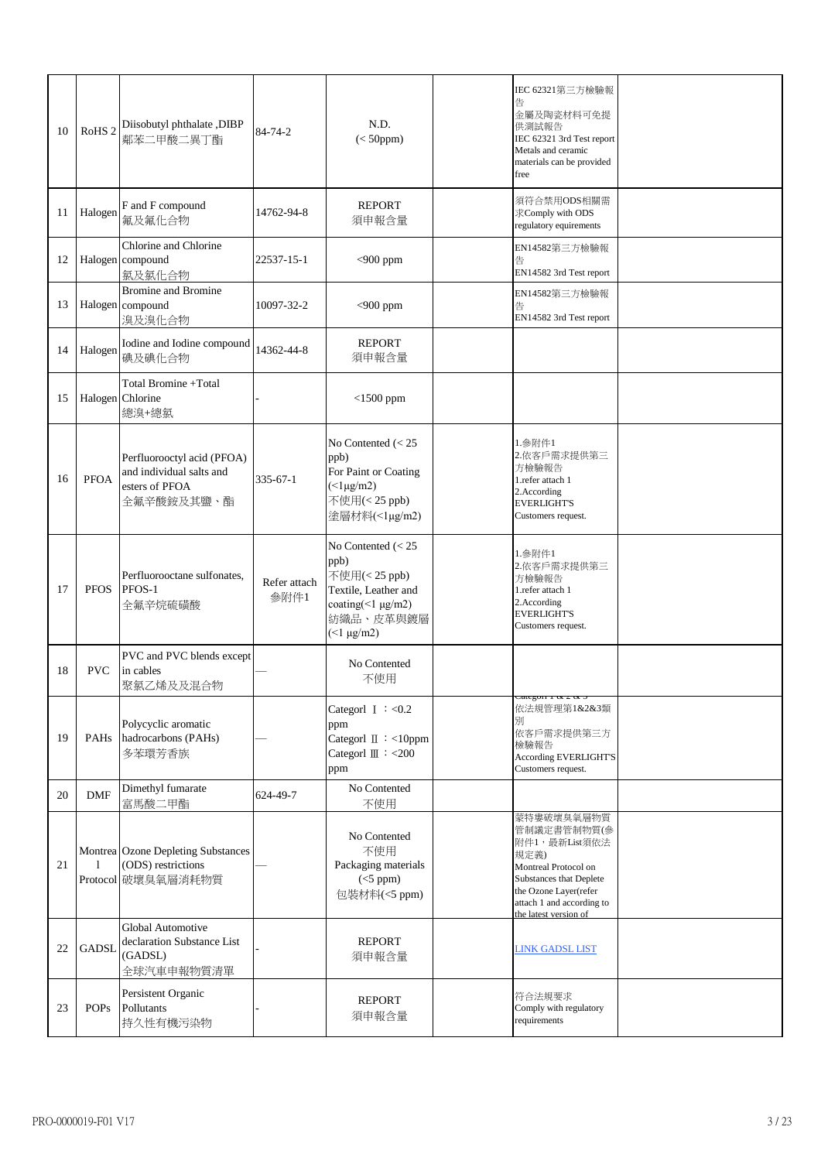| 10 | RoHS <sub>2</sub> | Diisobutyl phthalate, DIBP<br>鄰苯二甲酸二異丁酯                                                | 84-74-2              | N.D.<br>$(<50$ ppm $)$                                                                                                         | IEC 62321第三方檢驗報<br>金屬及陶瓷材料可免提<br>供測試報告<br>IEC 62321 3rd Test report<br>Metals and ceramic<br>materials can be provided<br>free                                                       |  |
|----|-------------------|----------------------------------------------------------------------------------------|----------------------|--------------------------------------------------------------------------------------------------------------------------------|--------------------------------------------------------------------------------------------------------------------------------------------------------------------------------------|--|
| 11 | Halogen           | F and F compound<br>氟及氟化合物                                                             | 14762-94-8           | <b>REPORT</b><br>須申報含量                                                                                                         | 須符合禁用ODS相關需<br>求Comply with ODS<br>regulatory equirements                                                                                                                            |  |
| 12 |                   | Chlorine and Chlorine<br>Halogen compound<br>氯及氯化合物                                    | 22537-15-1           | $<$ 900 ppm                                                                                                                    | EN14582第三方檢驗報<br>告<br>EN14582 3rd Test report                                                                                                                                        |  |
| 13 |                   | <b>Bromine and Bromine</b><br>Halogen compound<br>溴及溴化合物                               | 10097-32-2           | $<$ 900 ppm                                                                                                                    | EN14582第三方檢驗報<br>告<br>EN14582 3rd Test report                                                                                                                                        |  |
| 14 | Halogen           | Iodine and Iodine compound<br>碘及碘化合物                                                   | 14362-44-8           | <b>REPORT</b><br>須申報含量                                                                                                         |                                                                                                                                                                                      |  |
| 15 |                   | Total Bromine +Total<br>Halogen Chlorine<br>總溴+總氯                                      |                      | $<$ 1500 ppm                                                                                                                   |                                                                                                                                                                                      |  |
| 16 | <b>PFOA</b>       | Perfluorooctyl acid (PFOA)<br>and individual salts and<br>esters of PFOA<br>全氟辛酸銨及其鹽、酯 | $335 - 67 - 1$       | No Contented $(< 25$<br>ppb)<br>For Paint or Coating<br>$(\leq$ l $\mu$ g/m2)<br>不使用(<25 ppb)<br>塗層材料(<1μg/m2)                 | 1.参附件1<br>2.依客戶需求提供第三<br>方檢驗報告<br>1.refer attach 1<br>2.According<br><b>EVERLIGHT'S</b><br>Customers request.                                                                        |  |
| 17 | <b>PFOS</b>       | Perfluorooctane sulfonates,<br>PFOS-1<br>全氟辛烷硫磺酸                                       | Refer attach<br>参附件1 | No Contented $(< 25$<br>ppb)<br>不使用(<25 ppb)<br>Textile, Leather and<br>coating(<1 $\mu$ g/m2)<br>紡織品、皮革與鍍層<br>$($ 1 \mu g/m2) | 1.参附件1<br>2.依客戶需求提供第三<br>方檢驗報告<br>1.refer attach 1<br>2.According<br><b>EVERLIGHT'S</b><br>Customers request.                                                                        |  |
| 18 | <b>PVC</b>        | PVC and PVC blends except<br>in cables<br>聚氯乙烯及及混合物                                    |                      | No Contented<br>不使用                                                                                                            |                                                                                                                                                                                      |  |
| 19 | PAHs              | Polycyclic aromatic<br>hadrocarbons (PAHs)<br>多苯環芳香族                                   |                      | Categorl $I : < 0.2$<br>ppm<br>Categorl II : <10ppm<br>Categorl $\mathbb{II}$ : <200<br>ppm                                    | anc goir r oc 2 oc<br>依法規管理第1&2&3類<br>別<br>依客戶需求提供第三方<br>檢驗報告<br><b>According EVERLIGHT'S</b><br>Customers request.                                                                  |  |
| 20 | <b>DMF</b>        | Dimethyl fumarate<br>富馬酸二甲酯                                                            | 624-49-7             | No Contented<br>不使用                                                                                                            |                                                                                                                                                                                      |  |
| 21 | 1                 | Montrea Ozone Depleting Substances<br>(ODS) restrictions<br>Protocol 破壞臭氧層消耗物質         |                      | No Contented<br>不使用<br>Packaging materials<br>$(<5$ ppm)<br>包装材料(<5 ppm)                                                       | 蒙特婁破壞臭氧層物質<br>管制議定書管制物質(參<br>附件1,最新List須依法<br>規定義)<br>Montreal Protocol on<br>Substances that Deplete<br>the Ozone Layer(refer<br>attach 1 and according to<br>the latest version of |  |
| 22 | <b>GADSL</b>      | Global Automotive<br>declaration Substance List<br>(GADSL)<br>全球汽車申報物質清單               |                      | <b>REPORT</b><br>須申報含量                                                                                                         | <b>LINK GADSL LIST</b>                                                                                                                                                               |  |
| 23 | <b>POPs</b>       | Persistent Organic<br>Pollutants<br>持久性有機污染物                                           |                      | <b>REPORT</b><br>須申報含量                                                                                                         | 符合法規要求<br>Comply with regulatory<br>requirements                                                                                                                                     |  |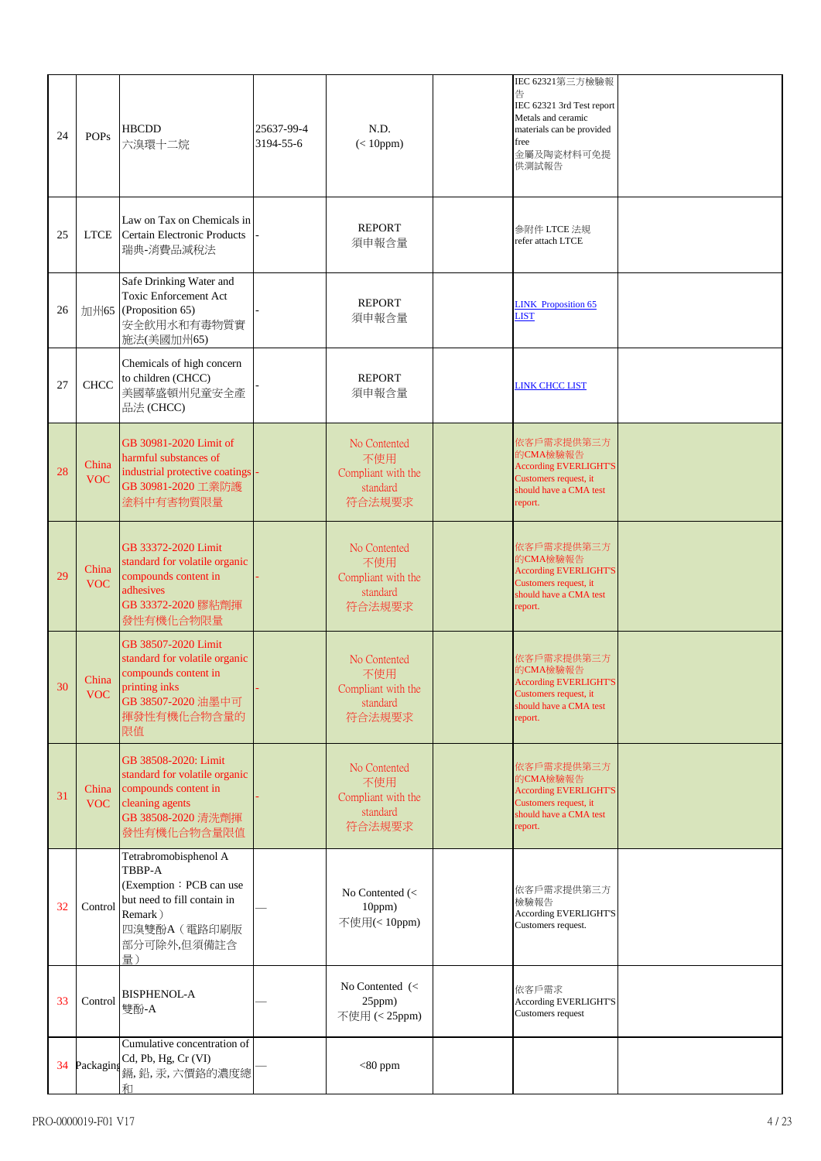| 24 | <b>POPs</b>         | <b>HBCDD</b><br>六溴環十二烷                                                                                                                    | 25637-99-4<br>3194-55-6 | N.D.<br>$(< 10$ ppm $)$                                              | IEC 62321第三方檢驗報<br>告<br>IEC 62321 3rd Test report<br>Metals and ceramic<br>materials can be provided<br>free<br>金屬及陶瓷材料可免提<br>供測試報告 |  |
|----|---------------------|-------------------------------------------------------------------------------------------------------------------------------------------|-------------------------|----------------------------------------------------------------------|-------------------------------------------------------------------------------------------------------------------------------------|--|
| 25 | <b>LTCE</b>         | Law on Tax on Chemicals in<br>Certain Electronic Products<br>瑞典-消費品減稅法                                                                    |                         | <b>REPORT</b><br>須申報含量                                               | 参附件 LTCE 法規<br>refer attach LTCE                                                                                                    |  |
| 26 |                     | Safe Drinking Water and<br>Toxic Enforcement Act<br>加州65 (Proposition 65)<br>安全飲用水和有毒物質實<br>施法(美國加州65)                                    |                         | <b>REPORT</b><br>須申報含量                                               | <b>LINK</b> Proposition 65<br><b>LIST</b>                                                                                           |  |
| 27 | <b>CHCC</b>         | Chemicals of high concern<br>to children (CHCC)<br>美國華盛頓州兒童安全產<br>品法(CHCC)                                                                |                         | <b>REPORT</b><br>須申報含量                                               | <b>LINK CHCC LIST</b>                                                                                                               |  |
| 28 | China<br><b>VOC</b> | GB 30981-2020 Limit of<br>harmful substances of<br>industrial protective coatings<br>GB 30981-2020 工業防護<br>塗料中有害物質限量                      |                         | No Contented<br>不使用<br>Compliant with the<br>standard<br>符合法規要求      | 依客戶需求提供第三方<br>的CMA檢驗報告<br><b>According EVERLIGHT'S</b><br>Customers request, it<br>should have a CMA test<br>report.                |  |
| 29 | China<br><b>VOC</b> | GB 33372-2020 Limit<br>standard for volatile organic<br>compounds content in<br>adhesives<br>GB 33372-2020 膠粘劑揮<br>發性有機化合物限量              |                         | No Contented<br>不使用<br>Compliant with the<br>standard<br>符合法規要求      | 依客戶需求提供第三方<br>的CMA檢驗報告<br><b>According EVERLIGHT'S</b><br>Customers request, it<br>should have a CMA test<br>report.                |  |
| 30 | China<br>VOC-       | GB 38507-2020 Limit<br>standard for volatile organic<br>compounds content in<br>printing inks<br>GB 38507-2020 油墨中可<br>揮發性有機化合物含量的<br>限值  |                         | No Contented<br>不使用<br>Compliant with the<br>standard<br>符合法規要求      | 依客戶需求提供第三方<br>的CMA檢驗報告<br><b>According EVERLIGHT'S</b><br>Customers request, it<br>should have a CMA test<br>report.                |  |
| 31 | China<br><b>VOC</b> | GB 38508-2020: Limit<br>standard for volatile organic<br>compounds content in<br>cleaning agents<br>GB 38508-2020 清洗劑揮<br>發性有機化合物含量限值     |                         | No Contented<br>不使用<br>Compliant with the<br>standard<br>符合法規要求      | 依客戶需求提供第三方<br>的CMA檢驗報告<br><b>According EVERLIGHT'S</b><br>Customers request, it<br>should have a CMA test<br>report.                |  |
| 32 | Control             | Tetrabromobisphenol A<br>TBBP-A<br>(Exemption: PCB can use<br>but need to fill contain in<br>Remark)<br>四溴雙酚A (電路印刷版<br>部分可除外,但須備註含<br>量) |                         | No Contented (<<br>10ppm)<br>不使用(<10ppm)                             | 依客戶需求提供第三方<br>檢驗報告<br><b>According EVERLIGHT'S</b><br>Customers request.                                                            |  |
| 33 | Control             | <b>BISPHENOL-A</b><br>雙酚-A                                                                                                                |                         | No Contented $\left\langle \right\rangle$<br>25ppm)<br>不使用 (< 25ppm) | 依客戶需求<br><b>According EVERLIGHT'S</b><br>Customers request                                                                          |  |
| 34 | Packaging           | Cumulative concentration of<br>Cd, Pb, Hg, Cr (VI)<br>鎘,鉛,汞,六價鉻的濃度總<br>和                                                                  |                         | $<$ 80 ppm                                                           |                                                                                                                                     |  |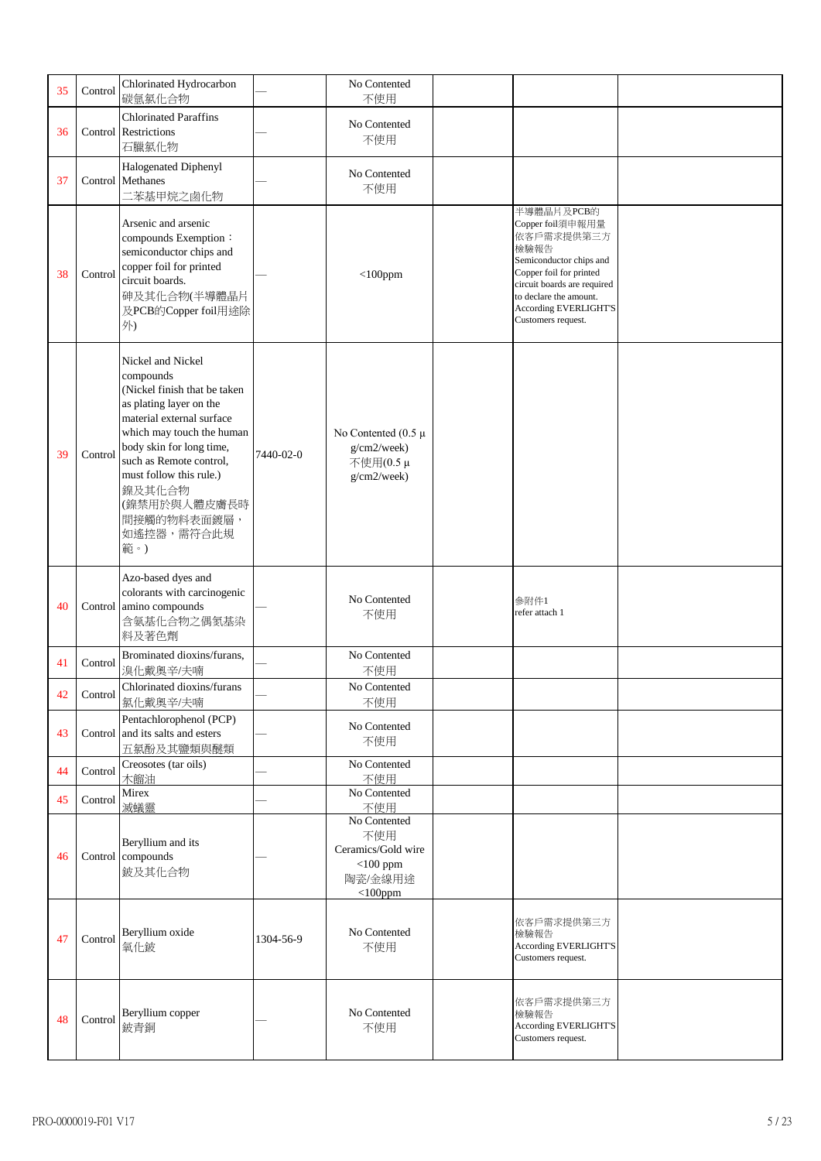| 35 | Control | Chlorinated Hydrocarbon<br>碳氫氯化合物                                                                                                                                                                                                                                                                   |           | No Contented<br>不使用                                                               |                                                                                                                                                                                                                           |  |
|----|---------|-----------------------------------------------------------------------------------------------------------------------------------------------------------------------------------------------------------------------------------------------------------------------------------------------------|-----------|-----------------------------------------------------------------------------------|---------------------------------------------------------------------------------------------------------------------------------------------------------------------------------------------------------------------------|--|
| 36 |         | <b>Chlorinated Paraffins</b><br>Control Restrictions<br>石臘氯化物                                                                                                                                                                                                                                       |           | No Contented<br>不使用                                                               |                                                                                                                                                                                                                           |  |
| 37 |         | Halogenated Diphenyl<br>Control Methanes<br>二苯基甲烷之鹵化物                                                                                                                                                                                                                                               |           | No Contented<br>不使用                                                               |                                                                                                                                                                                                                           |  |
| 38 | Control | Arsenic and arsenic<br>compounds Exemption:<br>semiconductor chips and<br>copper foil for printed<br>circuit boards.<br>砷及其化合物(半導體晶片<br>及PCB的Copper foil用途除<br>外)                                                                                                                                   |           | $<$ 100ppm                                                                        | 半導體晶片及PCB的<br>Copper foil須申報用量<br>依客戶需求提供第三方<br>檢驗報告<br>Semiconductor chips and<br>Copper foil for printed<br>circuit boards are required<br>to declare the amount.<br><b>According EVERLIGHT'S</b><br>Customers request. |  |
| 39 | Control | Nickel and Nickel<br>compounds<br>(Nickel finish that be taken<br>as plating layer on the<br>material external surface<br>which may touch the human<br>body skin for long time,<br>such as Remote control,<br>must follow this rule.)<br>鎳及其化合物<br>(鎳禁用於與人體皮膚長時<br>間接觸的物料表面鍍層,<br>如遙控器,需符合此規<br>範。) | 7440-02-0 | No Contented $(0.5 \mu$<br>g/cm2/week)<br>不使用(0.5μ<br>g/cm2/week)                 |                                                                                                                                                                                                                           |  |
| 40 |         | Azo-based dyes and<br>colorants with carcinogenic<br>Control amino compounds<br>含氨基化合物之偶氮基染<br>料及著色劑                                                                                                                                                                                                |           | No Contented<br>不使用                                                               | 参附件1<br>refer attach 1                                                                                                                                                                                                    |  |
| 41 | Control | Brominated dioxins/furans,<br>溴化戴奥辛/夫喃                                                                                                                                                                                                                                                              |           | No Contented<br>不使用                                                               |                                                                                                                                                                                                                           |  |
| 42 | Control | Chlorinated dioxins/furans<br>氯化戴奥辛/夫喃                                                                                                                                                                                                                                                              |           | No Contented<br>不使用                                                               |                                                                                                                                                                                                                           |  |
| 43 |         | Pentachlorophenol (PCP)<br>Control and its salts and esters<br>五氯酚及其鹽類與醚類                                                                                                                                                                                                                           |           | No Contented<br>不使用                                                               |                                                                                                                                                                                                                           |  |
| 44 | Control | Creosotes (tar oils)<br>木餾油                                                                                                                                                                                                                                                                         |           | No Contented<br>不使用                                                               |                                                                                                                                                                                                                           |  |
| 45 | Control | Mirex<br>滅蟻靈                                                                                                                                                                                                                                                                                        |           | No Contented<br>不使用                                                               |                                                                                                                                                                                                                           |  |
| 46 |         | Beryllium and its<br>Control compounds<br>鈹及其化合物                                                                                                                                                                                                                                                    |           | No Contented<br>不使用<br>Ceramics/Gold wire<br>$<$ 100 ppm<br>陶瓷/金線用途<br>$<$ 100ppm |                                                                                                                                                                                                                           |  |
| 47 | Control | Beryllium oxide<br>氧化鈹                                                                                                                                                                                                                                                                              | 1304-56-9 | No Contented<br>不使用                                                               | 依客戶需求提供第三方<br>檢驗報告<br><b>According EVERLIGHT'S</b><br>Customers request.                                                                                                                                                  |  |
| 48 | Control | Beryllium copper<br>鈹青銅                                                                                                                                                                                                                                                                             |           | No Contented<br>不使用                                                               | 依客戶需求提供第三方<br>檢驗報告<br><b>According EVERLIGHT'S</b><br>Customers request.                                                                                                                                                  |  |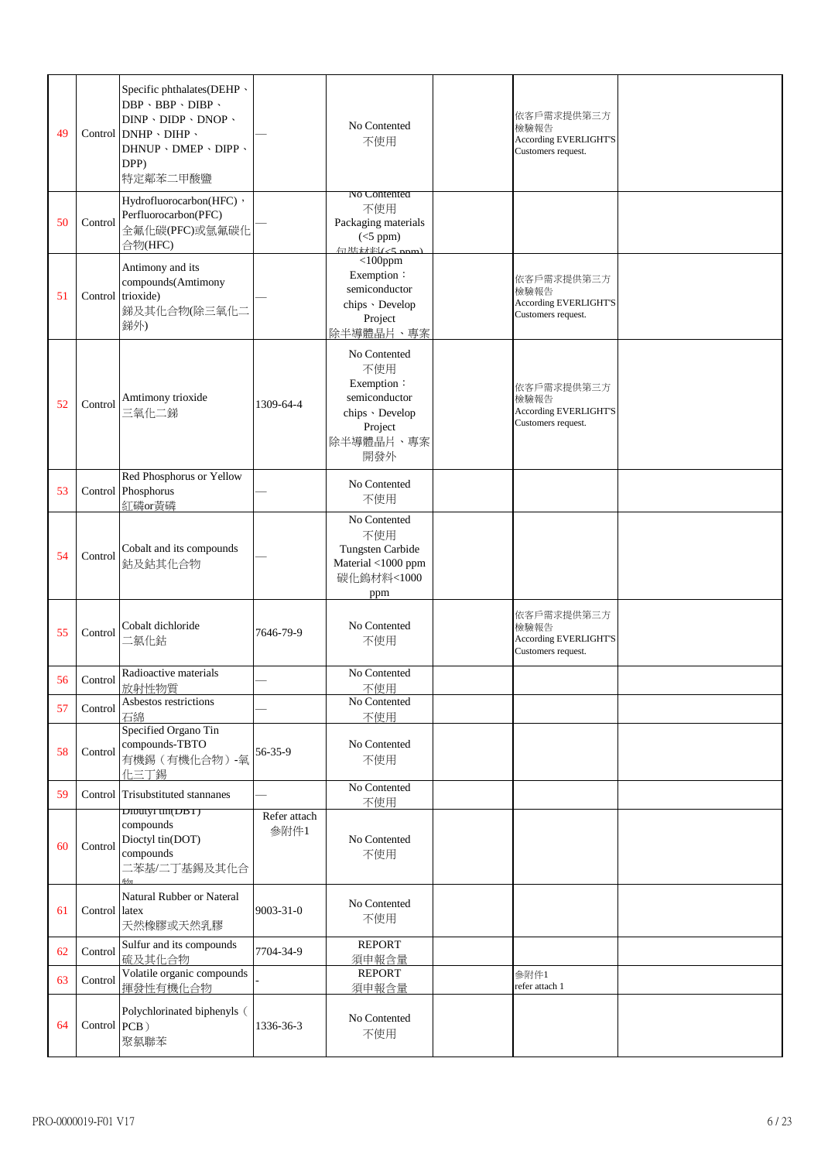| 49 |               | Specific phthalates(DEHP \<br>$DBP \cdot BBP \cdot DIBP \cdot$<br>$DINP \cdot DIDP \cdot DNOP \cdot$<br>Control $DNHP \cdot DHP \cdot$<br>DHNUP · DMEP · DIPP ·<br>DPP)<br>特定鄰苯二甲酸鹽 |                      | No Contented<br>不使用                                                                                  | 依客戶需求提供第三方<br>檢驗報告<br><b>According EVERLIGHT'S</b><br>Customers request. |  |
|----|---------------|-------------------------------------------------------------------------------------------------------------------------------------------------------------------------------------|----------------------|------------------------------------------------------------------------------------------------------|--------------------------------------------------------------------------|--|
| 50 | Control       | Hydrofluorocarbon(HFC),<br>Perfluorocarbon(PFC)<br>全氟化碳(PFC)或氫氟碳化<br>合物(HFC)                                                                                                        |                      | No Contented<br>不使用<br>Packaging materials<br>$(<5$ ppm)                                             |                                                                          |  |
| 51 |               | Antimony and its<br>compounds(Amtimony<br>Control trioxide)<br>銻及其化合物(除三氧化二<br>銻外)                                                                                                  |                      | $<$ 100ppm<br>Exemption:<br>semiconductor<br>chips · Develop<br>Project<br>除半導體晶片、專案                 | 依客戶需求提供第三方<br>檢驗報告<br>According EVERLIGHT'S<br>Customers request.        |  |
| 52 | Control       | Amtimony trioxide<br>三氧化二銻                                                                                                                                                          | 1309-64-4            | No Contented<br>不使用<br>Exemption:<br>semiconductor<br>chips · Develop<br>Project<br>除半導體晶片、專案<br>開發外 | 依客戶需求提供第三方<br>檢驗報告<br><b>According EVERLIGHT'S</b><br>Customers request. |  |
| 53 |               | Red Phosphorus or Yellow<br>Control Phosphorus<br>紅磷or黃磷                                                                                                                            |                      | No Contented<br>不使用                                                                                  |                                                                          |  |
| 54 | Control       | Cobalt and its compounds<br>鈷及鈷其化合物                                                                                                                                                 |                      | No Contented<br>不使用<br>Tungsten Carbide<br>Material <1000 ppm<br>碳化鎢材料<1000<br>ppm                   |                                                                          |  |
| 55 | Control       | Cobalt dichloride<br>二氯化鈷                                                                                                                                                           | 7646-79-9            | No Contented<br>不使用                                                                                  | 依客戶需求提供第三方<br>檢驗報告<br><b>According EVERLIGHT'S</b><br>Customers request. |  |
| 56 | Control       | Radioactive materials<br>放射性物質                                                                                                                                                      |                      | No Contented<br>不使用                                                                                  |                                                                          |  |
| 57 | Control       | Asbestos restrictions<br>石綿                                                                                                                                                         |                      | No Contented<br>不使用                                                                                  |                                                                          |  |
| 58 | Control       | Specified Organo Tin<br>compounds-TBTO<br>有機錫 (有機化合物)-氧<br>化三丁錫                                                                                                                     | 56-35-9              | No Contented<br>不使用                                                                                  |                                                                          |  |
| 59 |               | Control Trisubstituted stannanes                                                                                                                                                    |                      | No Contented<br>不使用                                                                                  |                                                                          |  |
| 60 | Control       | Dibutyi tin(DBT)<br>compounds<br>Dioctyl tin(DOT)<br>compounds<br>二苯基/二丁基錫及其化合                                                                                                      | Refer attach<br>参附件1 | No Contented<br>不使用                                                                                  |                                                                          |  |
| 61 | Control latex | Natural Rubber or Nateral<br>天然橡膠或天然乳膠                                                                                                                                              | 9003-31-0            | No Contented<br>不使用                                                                                  |                                                                          |  |
| 62 | Control       | Sulfur and its compounds<br>硫及其化合物                                                                                                                                                  | 7704-34-9            | <b>REPORT</b><br>須申報含量                                                                               |                                                                          |  |
| 63 | Control       | Volatile organic compounds<br>揮發性有機化合物                                                                                                                                              |                      | <b>REPORT</b><br>須申報含量                                                                               | 参附件1<br>refer attach 1                                                   |  |
| 64 | Control PCB)  | Polychlorinated biphenyls (<br>聚氯聯苯                                                                                                                                                 | 1336-36-3            | No Contented<br>不使用                                                                                  |                                                                          |  |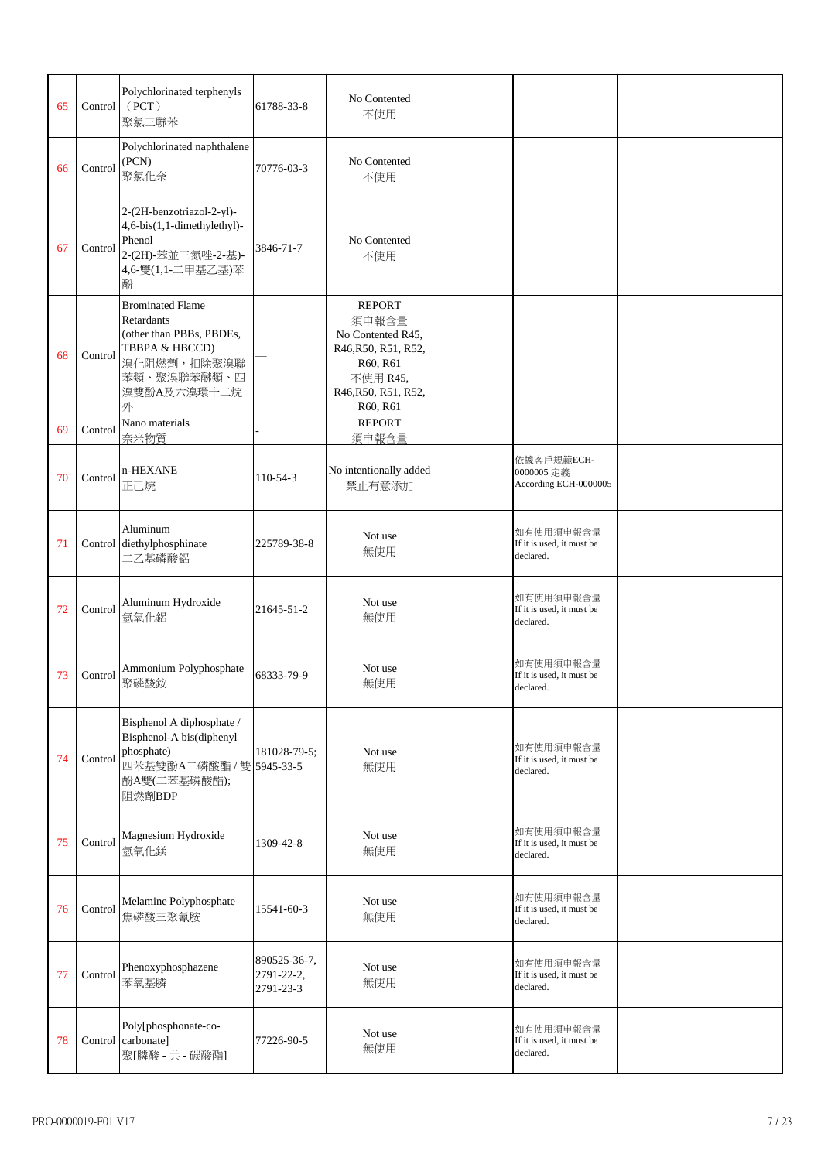| 65 | Control | Polychlorinated terphenyls<br>(PCT)<br>聚氯三聯苯                                                                                          | 61788-33-8                              | No Contented<br>不使用                                                                                                           |                                                     |  |
|----|---------|---------------------------------------------------------------------------------------------------------------------------------------|-----------------------------------------|-------------------------------------------------------------------------------------------------------------------------------|-----------------------------------------------------|--|
| 66 | Control | Polychlorinated naphthalene<br>(PCN)<br>聚氯化奈                                                                                          | 70776-03-3                              | No Contented<br>不使用                                                                                                           |                                                     |  |
| 67 | Control | 2-(2H-benzotriazol-2-yl)-<br>4,6-bis(1,1-dimethylethyl)-<br>Phenol<br>2-(2H)-苯並三氮唑-2-基)-<br>4,6-雙(1,1-二甲基乙基)苯<br>酚                    | 3846-71-7                               | No Contented<br>不使用                                                                                                           |                                                     |  |
| 68 | Control | <b>Brominated Flame</b><br>Retardants<br>(other than PBBs, PBDEs,<br>TBBPA & HBCCD)<br>溴化阻燃劑,扣除聚溴聯<br>苯類、聚溴聯苯醚類、四<br>溴雙酚A及六溴環十二烷<br>外 |                                         | <b>REPORT</b><br>須申報含量<br>No Contented R45,<br>R46, R50, R51, R52,<br>R60, R61<br>不使用 R45,<br>R46, R50, R51, R52,<br>R60, R61 |                                                     |  |
| 69 | Control | Nano materials<br>奈米物質                                                                                                                |                                         | <b>REPORT</b><br>須申報含量                                                                                                        |                                                     |  |
| 70 | Control | n-HEXANE<br>正己烷                                                                                                                       | 110-54-3                                | No intentionally added<br>禁止有意添加                                                                                              | 依據客戶規範ECH-<br>0000005 定義<br>According ECH-0000005   |  |
| 71 |         | Aluminum<br>Control diethylphosphinate<br>二乙基磷酸鋁                                                                                      | 225789-38-8                             | Not use<br>無使用                                                                                                                | 如有使用須申報含量<br>If it is used, it must be<br>declared. |  |
| 72 | Control | Aluminum Hydroxide<br>氫氧化鋁                                                                                                            | 21645-51-2                              | Not use<br>無使用                                                                                                                | 如有使用須申報含量<br>If it is used, it must be<br>declared. |  |
| 73 | Control | Ammonium Polyphosphate<br>聚磷酸銨                                                                                                        | 68333-79-9                              | Not use<br>無使用                                                                                                                | 如有使用須申報含量<br>If it is used, it must be<br>declared. |  |
| 74 | Control | Bisphenol A diphosphate /<br>Bisphenol-A bis(diphenyl<br>phosphate)<br>四苯基雙酚A二磷酸酯 / 雙 5945-33-5<br>酚A雙(二苯基磷酸酯);<br>阻燃劑BDP             | 181028-79-5;                            | Not use<br>無使用                                                                                                                | 如有使用須申報含量<br>If it is used, it must be<br>declared. |  |
| 75 | Control | Magnesium Hydroxide<br>氫氧化鎂                                                                                                           | 1309-42-8                               | Not use<br>無使用                                                                                                                | 如有使用須申報含量<br>If it is used, it must be<br>declared. |  |
| 76 | Control | Melamine Polyphosphate<br>焦磷酸三聚氰胺                                                                                                     | 15541-60-3                              | Not use<br>無使用                                                                                                                | 如有使用須申報含量<br>If it is used, it must be<br>declared. |  |
| 77 | Control | Phenoxyphosphazene<br>苯氧基膦                                                                                                            | 890525-36-7,<br>2791-22-2,<br>2791-23-3 | Not use<br>無使用                                                                                                                | 如有使用須申報含量<br>If it is used, it must be<br>declared. |  |
| 78 |         | Poly[phosphonate-co-<br>Control carbonate]<br>聚[膦酸 - 共 - 碳酸酯]                                                                         | 77226-90-5                              | Not use<br>無使用                                                                                                                | 如有使用須申報含量<br>If it is used, it must be<br>declared. |  |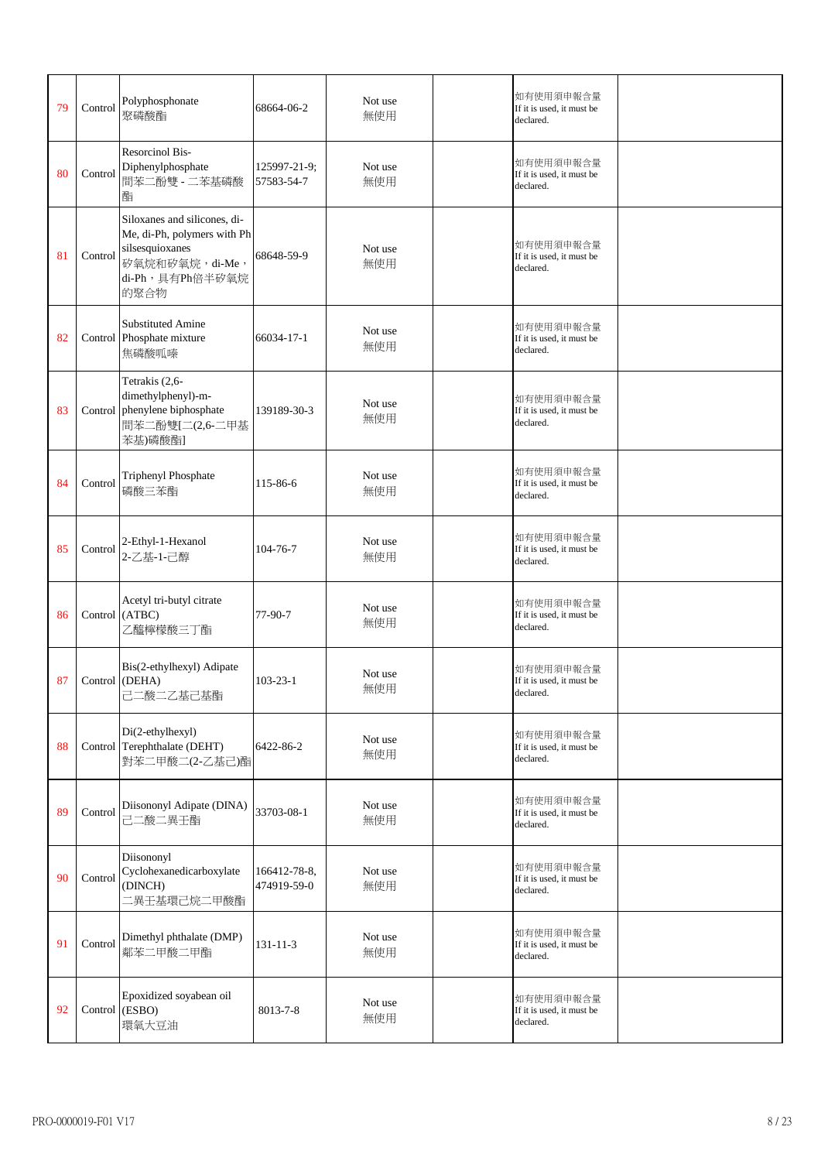| 79 | Control | Polyphosphonate<br>聚磷酸酯                                                                                                       | 68664-06-2                  | Not use<br>無使用 | 如有使用須申報含量<br>If it is used, it must be<br>declared. |  |
|----|---------|-------------------------------------------------------------------------------------------------------------------------------|-----------------------------|----------------|-----------------------------------------------------|--|
| 80 | Control | <b>Resorcinol Bis-</b><br>Diphenylphosphate<br>間苯二酚雙 - 二苯基磷酸<br>酯                                                             | 125997-21-9;<br>57583-54-7  | Not use<br>無使用 | 如有使用須申報含量<br>If it is used, it must be<br>declared. |  |
| 81 | Control | Siloxanes and silicones, di-<br>Me, di-Ph, polymers with Ph<br>silsesquioxanes<br>矽氧烷和矽氧烷, di-Me,<br>di-Ph, 具有Ph倍半矽氧烷<br>的聚合物 | 68648-59-9                  | Not use<br>無使用 | 如有使用須申報含量<br>If it is used, it must be<br>declared. |  |
| 82 |         | <b>Substituted Amine</b><br>Control Phosphate mixture<br>焦磷酸呱嗪                                                                | 66034-17-1                  | Not use<br>無使用 | 如有使用須申報含量<br>If it is used, it must be<br>declared. |  |
| 83 |         | Tetrakis (2,6-<br>dimethylphenyl)-m-<br>Control phenylene biphosphate<br>間苯二酚雙[二(2,6-二甲基<br>苯基)磷酸酯]                           | 139189-30-3                 | Not use<br>無使用 | 如有使用須申報含量<br>If it is used, it must be<br>declared. |  |
| 84 | Control | Triphenyl Phosphate<br>磷酸三苯酯                                                                                                  | 115-86-6                    | Not use<br>無使用 | 如有使用須申報含量<br>If it is used, it must be<br>declared. |  |
| 85 | Control | 2-Ethyl-1-Hexanol<br>2-乙基-1-己醇                                                                                                | 104-76-7                    | Not use<br>無使用 | 如有使用須申報含量<br>If it is used, it must be<br>declared. |  |
| 86 |         | Acetyl tri-butyl citrate<br>Control (ATBC)<br>乙醯檸檬酸三丁酯                                                                        | $77-90-7$                   | Not use<br>無使用 | 如有使用須申報含量<br>If it is used, it must be<br>declared. |  |
| 87 |         | Bis(2-ethylhexyl) Adipate<br>Control (DEHA)<br>己二酸二乙基己基酯                                                                      | $103 - 23 - 1$              | Not use<br>無使用 | 如有使用須申報含量<br>If it is used, it must be<br>declared. |  |
| 88 |         | Di(2-ethylhexyl)<br>Control Terephthalate (DEHT)<br>對苯二甲酸二(2-乙基己)酯                                                            | 6422-86-2                   | Not use<br>無使用 | 如有使用須申報含量<br>If it is used, it must be<br>declared. |  |
| 89 | Control | Diisononyl Adipate (DINA)<br>己二酸二異壬酯                                                                                          | 33703-08-1                  | Not use<br>無使用 | 如有使用須申報含量<br>If it is used, it must be<br>declared. |  |
| 90 | Control | Diisononyl<br>Cyclohexanedicarboxylate<br>(DINCH)<br>二異壬基環己烷二甲酸酯                                                              | 166412-78-8,<br>474919-59-0 | Not use<br>無使用 | 如有使用須申報含量<br>If it is used, it must be<br>declared. |  |
| 91 | Control | Dimethyl phthalate (DMP)<br>鄰苯二甲酸二甲酯                                                                                          | 131-11-3                    | Not use<br>無使用 | 如有使用須申報含量<br>If it is used, it must be<br>declared. |  |
| 92 |         | Epoxidized soyabean oil<br>Control (ESBO)<br>環氧大豆油                                                                            | 8013-7-8                    | Not use<br>無使用 | 如有使用須申報含量<br>If it is used, it must be<br>declared. |  |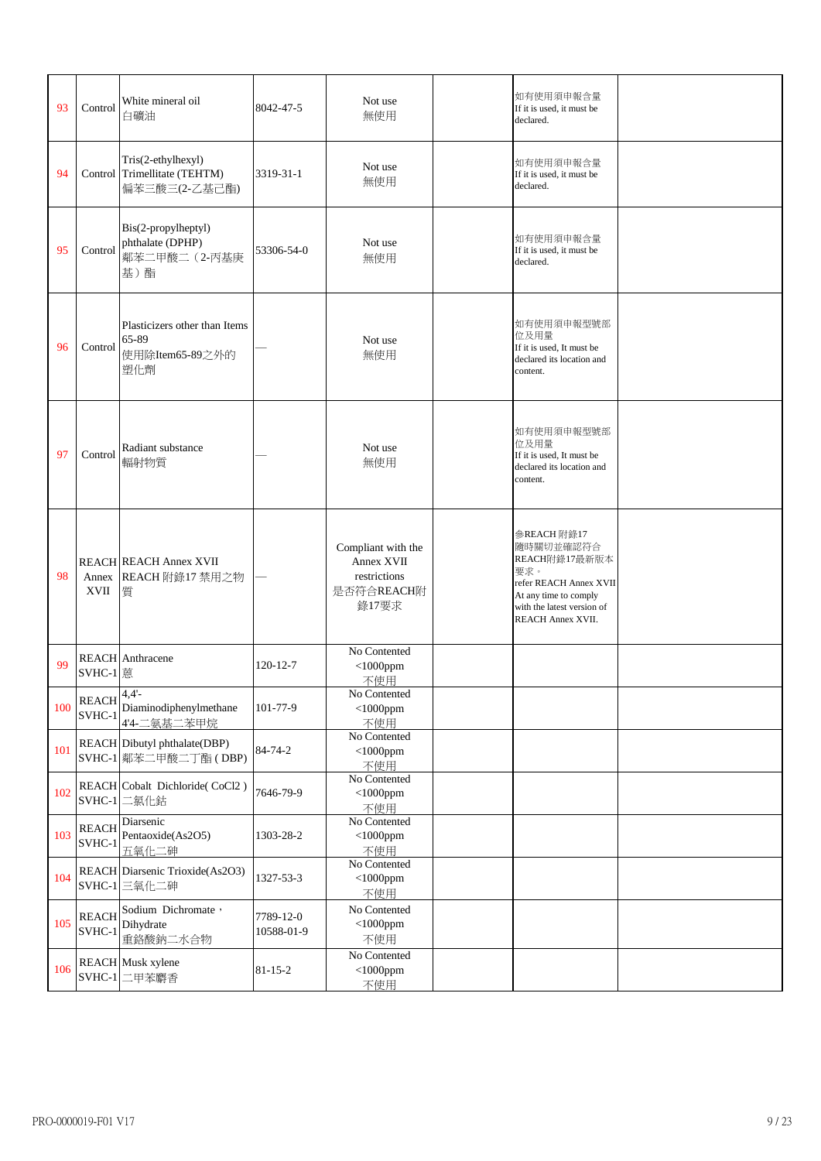| 93  | Control                            | White mineral oil<br>白礦油                                            | 8042-47-5               | Not use<br>無使用                                                          | 如有使用須申報含量<br>If it is used, it must be<br>declared.                                                                                                    |  |
|-----|------------------------------------|---------------------------------------------------------------------|-------------------------|-------------------------------------------------------------------------|--------------------------------------------------------------------------------------------------------------------------------------------------------|--|
| 94  |                                    | Tris(2-ethylhexyl)<br>Control Trimellitate (TEHTM)<br>偏苯三酸三(2-乙基己酯) | 3319-31-1               | Not use<br>無使用                                                          | 如有使用須申報含量<br>If it is used, it must be<br>declared.                                                                                                    |  |
| 95  | Control                            | Bis(2-propylheptyl)<br>phthalate (DPHP)<br>鄰苯二甲酸二 (2-丙基庚<br>基)酯     | 53306-54-0              | Not use<br>無使用                                                          | 如有使用須申報含量<br>If it is used, it must be<br>declared.                                                                                                    |  |
| 96  | Control                            | Plasticizers other than Items<br>65-89<br>使用除Item65-89之外的<br>塑化劑    |                         | Not use<br>無使用                                                          | 如有使用須申報型號部<br>位及用量<br>If it is used, It must be<br>declared its location and<br>content.                                                               |  |
| 97  | Control                            | Radiant substance<br>輻射物質                                           |                         | Not use<br>無使用                                                          | 如有使用須申報型號部<br>位及用量<br>If it is used, It must be<br>declared its location and<br>content.                                                               |  |
| 98  | XVII                               | <b>REACH REACH Annex XVII</b><br>Annex REACH 附錄17 禁用之物<br>質         |                         | Compliant with the<br>Annex XVII<br>restrictions<br>是否符合REACH附<br>錄17要求 | 参REACH 附錄17<br>隨時關切並確認符合<br>REACH附錄17最新版本<br>要求。<br>refer REACH Annex XVII<br>At any time to comply<br>with the latest version of<br>REACH Annex XVII. |  |
| 99  | SVHC-1 蒽                           | <b>REACH</b> Anthracene                                             | $120 - 12 - 7$          | No Contented<br>$<$ 1000ppm<br>不使用                                      |                                                                                                                                                        |  |
| 100 | $REACH$ <sup>4,4'-</sup><br>SVHC-1 | Diaminodiphenylmethane<br>4'4-二氨基二苯甲烷                               | 101-77-9                | No Contented<br>$<$ 1000ppm<br>不使用                                      |                                                                                                                                                        |  |
| 101 |                                    | REACH Dibutyl phthalate(DBP)<br>SVHC-1 鄰苯二甲酸二丁酯 (DBP)               | 84-74-2                 | No Contented<br>$<$ 1000ppm<br>不使用                                      |                                                                                                                                                        |  |
| 102 |                                    | REACH Cobalt Dichloride(CoCl2)<br>SVHC-1 二氯化鈷                       | 7646-79-9               | No Contented<br>$<$ 1000ppm<br>不使用                                      |                                                                                                                                                        |  |
| 103 | <b>REACH</b><br>SVHC-1             | Diarsenic<br>Pentaoxide(As2O5)<br>五氧化二砷                             | 1303-28-2               | No Contented<br>$<$ 1000ppm<br>不使用                                      |                                                                                                                                                        |  |
| 104 |                                    | REACH Diarsenic Trioxide(As2O3)<br>SVHC-1 三氧化二砷                     | 1327-53-3               | No Contented<br>$<$ 1000ppm<br>不使用                                      |                                                                                                                                                        |  |
| 105 | <b>REACH</b><br>SVHC-1             | Sodium Dichromate,<br>Dihydrate<br>重鉻酸鈉二水合物                         | 7789-12-0<br>10588-01-9 | No Contented<br>$<$ 1000ppm<br>不使用                                      |                                                                                                                                                        |  |
| 106 |                                    | <b>REACH</b> Musk xylene<br>SVHC-1 二甲苯麝香                            | $81 - 15 - 2$           | No Contented<br>$<$ 1000ppm<br>不使用                                      |                                                                                                                                                        |  |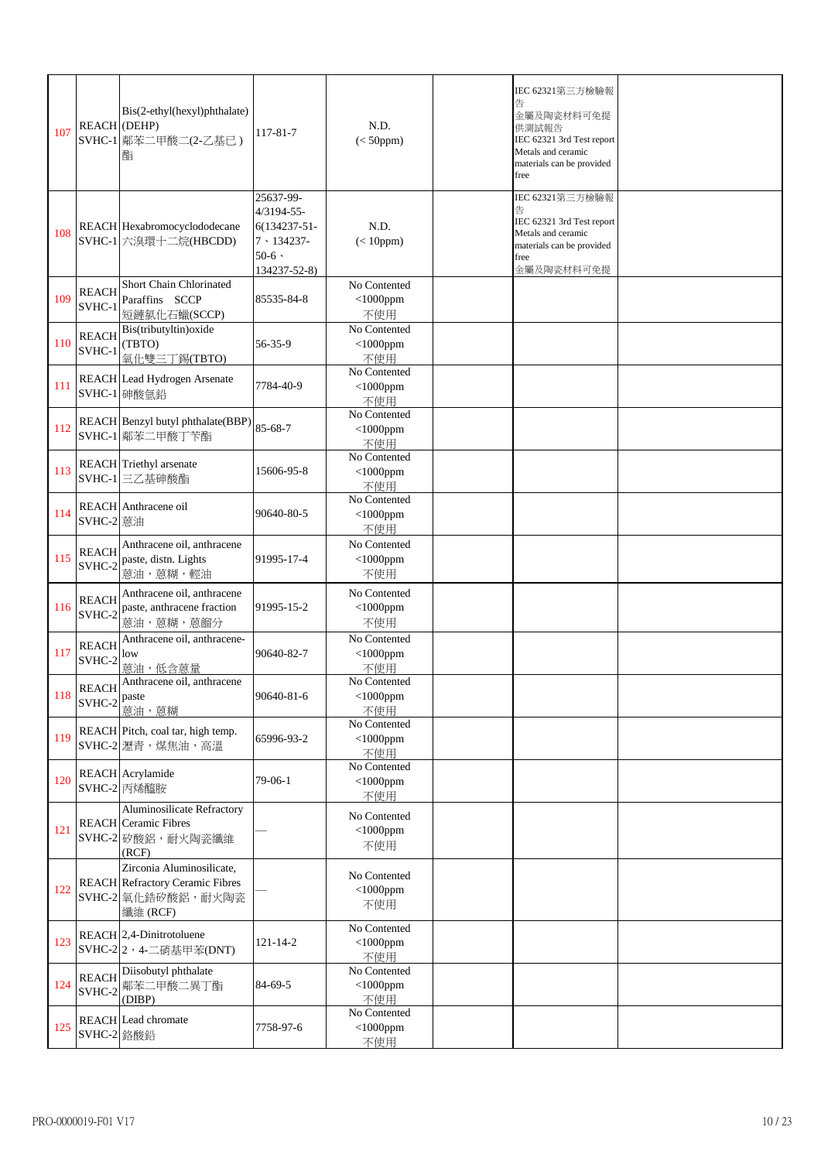| 107 | <b>REACH</b> (DEHP)                            | Bis(2-ethyl(hexyl)phthalate)<br>SVHC-1 鄰苯二甲酸二(2-乙基已)<br>酯                                              | 117-81-7                                                                                             | N.D.<br>$(<50$ ppm $)$                 | IEC 62321第三方檢驗報<br>金屬及陶瓷材料可免提<br>供測試報告<br>IEC 62321 3rd Test report<br>Metals and ceramic<br>materials can be provided<br>free |  |
|-----|------------------------------------------------|--------------------------------------------------------------------------------------------------------|------------------------------------------------------------------------------------------------------|----------------------------------------|--------------------------------------------------------------------------------------------------------------------------------|--|
| 108 |                                                | REACH Hexabromocyclododecane<br>SVHC-1 六溴環十二烷(HBCDD)                                                   | 25637-99-<br>4/3194-55-<br>$6(134237 - 51 -$<br>$7 \cdot 134237 -$<br>$50-6$ $\cdot$<br>134237-52-8) | N.D.<br>$(< 10$ ppm $)$                | IEC 62321第三方檢驗報<br>告<br>IEC 62321 3rd Test report<br>Metals and ceramic<br>materials can be provided<br>free<br>金屬及陶瓷材料可免提     |  |
| 109 | <b>REACH</b><br>SVHC-1                         | Short Chain Chlorinated<br>Paraffins SCCP<br>短鏈氯化石蠟(SCCP)                                              | 85535-84-8                                                                                           | No Contented<br>$<$ 1000ppm<br>不使用     |                                                                                                                                |  |
| 110 | <b>REACH</b><br>SVHC-1                         | Bis(tributyltin) oxide<br>(TBTO)<br>氧化雙三丁錫(TBTO)                                                       | 56-35-9                                                                                              | No Contented<br>$<$ 1000ppm<br>不使用     |                                                                                                                                |  |
| 111 |                                                | REACH Lead Hydrogen Arsenate<br>SVHC-1 砷酸氫鉛                                                            | 7784-40-9                                                                                            | No Contented<br>$<$ 1000ppm<br>不使用     |                                                                                                                                |  |
| 112 |                                                | REACH Benzyl butyl phthalate(BBP)<br>SVHC-1 鄰苯二甲酸丁苄酯                                                   | 85-68-7                                                                                              | No Contented<br>$<$ 1000ppm<br>不使用     |                                                                                                                                |  |
| 113 |                                                | <b>REACH</b> Triethyl arsenate<br>SVHC-1 三乙基砷酸酯                                                        | 15606-95-8                                                                                           | No Contented<br>$<$ 1000ppm<br>不使用     |                                                                                                                                |  |
| 114 | SVHC-2 蒽油                                      | REACH Anthracene oil                                                                                   | 90640-80-5                                                                                           | No Contented<br>$<$ 1000ppm<br>不使用     |                                                                                                                                |  |
| 115 | <b>REACH</b><br>SVHC-2                         | Anthracene oil, anthracene<br>paste, distn. Lights<br>蒽油,蒽糊,輕油                                         | 91995-17-4                                                                                           | No Contented<br>$<$ 1000ppm<br>不使用     |                                                                                                                                |  |
| 116 | <b>REACH</b><br>SVHC-2                         | Anthracene oil, anthracene<br>paste, anthracene fraction<br>蒽油,蒽糊,蒽餾分                                  | 91995-15-2                                                                                           | No Contented<br>$<$ 1000ppm<br>不使用     |                                                                                                                                |  |
| 117 | <b>REACH</b><br>SVHC-2                         | Anthracene oil, anthracene-<br>low<br>蒽油,低含蒽量                                                          | 90640-82-7                                                                                           | No Contented<br>$<$ 1000ppm<br>不使用     |                                                                                                                                |  |
| 118 | <b>REACH</b><br>$\text{SVHC-2}$ $\text{paste}$ | Anthracene oil, anthracene<br>蒽油,蒽糊                                                                    | 90640-81-6                                                                                           | No Contented<br>$<$ 1000 $p$ pm<br>不使用 |                                                                                                                                |  |
| 119 |                                                | REACH Pitch, coal tar, high temp.<br>SVHC-2 瀝青, 煤焦油, 高溫                                                | 65996-93-2                                                                                           | No Contented<br>$<$ 1000ppm<br>不使用     |                                                                                                                                |  |
| 120 |                                                | REACH Acrylamide<br>SVHC-2 丙烯醯胺                                                                        | 79-06-1                                                                                              | No Contented<br>$<$ 1000ppm<br>不使用     |                                                                                                                                |  |
| 121 |                                                | Aluminosilicate Refractory<br><b>REACH</b> Ceramic Fibres<br>SVHC-2 矽酸鋁,耐火陶瓷纖維<br>(RCF)                |                                                                                                      | No Contented<br>$<$ 1000ppm<br>不使用     |                                                                                                                                |  |
| 122 |                                                | Zirconia Aluminosilicate,<br><b>REACH</b> Refractory Ceramic Fibres<br>SVHC-2 氧化鋯矽酸鋁, 耐火陶瓷<br>纖維 (RCF) |                                                                                                      | No Contented<br>$<$ 1000ppm<br>不使用     |                                                                                                                                |  |
| 123 |                                                | REACH 2,4-Dinitrotoluene<br>SVHC-22, 4-二硝基甲苯(DNT)                                                      | 121-14-2                                                                                             | No Contented<br>$<$ 1000ppm<br>不使用     |                                                                                                                                |  |
| 124 | <b>REACH</b><br>SVHC-2                         | Diisobutyl phthalate<br>鄰苯二甲酸二異丁酯<br>(DIBP)                                                            | 84-69-5                                                                                              | No Contented<br>$<$ 1000ppm<br>不使用     |                                                                                                                                |  |
| 125 | SVHC-2 鉻酸鉛                                     | <b>REACH</b> Lead chromate                                                                             | 7758-97-6                                                                                            | No Contented<br>$<$ 1000ppm<br>不使用     |                                                                                                                                |  |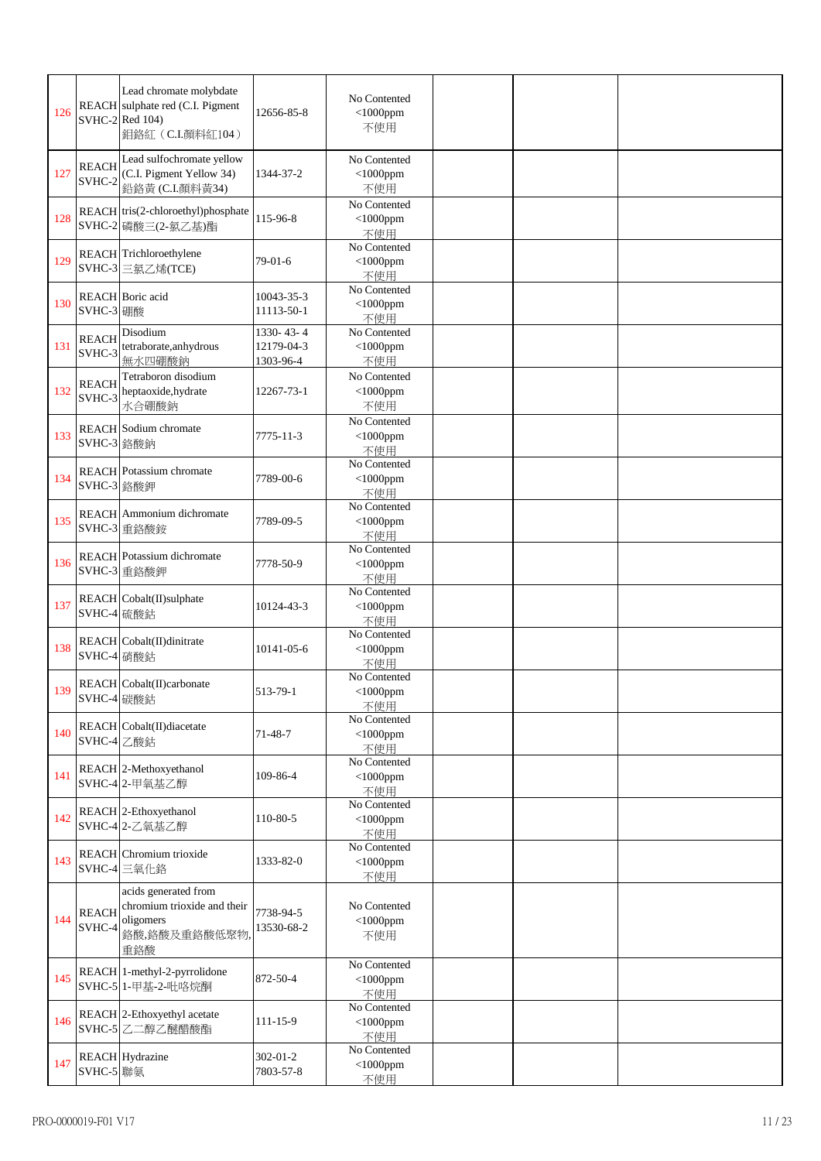| 126 |                        | Lead chromate molybdate<br>REACH sulphate red (C.I. Pigment<br>SVHC-2 Red 104)<br>鉬鉻紅 (C.I.顏料紅104) | 12656-85-8                           | No Contented<br>$<$ 1000ppm<br>不使用 |  |  |
|-----|------------------------|----------------------------------------------------------------------------------------------------|--------------------------------------|------------------------------------|--|--|
| 127 | <b>REACH</b><br>SVHC-2 | Lead sulfochromate yellow<br>(C.I. Pigment Yellow 34)<br>鉛鉻黃 (C.I.顏料黃34)                           | 1344-37-2                            | No Contented<br>$<$ 1000ppm<br>不使用 |  |  |
| 128 |                        | REACH tris(2-chloroethyl)phosphate<br>SVHC-2 磷酸三(2-氯乙基)酯                                           | 115-96-8                             | No Contented<br>$<$ 1000ppm<br>不使用 |  |  |
| 129 |                        | REACH Trichloroethylene<br>SVHC-3 三氯乙烯(TCE)                                                        | $79-01-6$                            | No Contented<br>$<$ 1000ppm<br>不使用 |  |  |
| 130 | SVHC-3 硼酸              | REACH Boric acid                                                                                   | 10043-35-3<br>11113-50-1             | No Contented<br>$<$ 1000ppm<br>不使用 |  |  |
| 131 | <b>REACH</b><br>SVHC-3 | Disodium<br>tetraborate, anhydrous<br>無水四硼酸鈉                                                       | 1330-43-4<br>12179-04-3<br>1303-96-4 | No Contented<br>$<$ 1000ppm<br>不使用 |  |  |
| 132 | <b>REACH</b><br>SVHC-3 | Tetraboron disodium<br>heptaoxide, hydrate<br>水合硼酸鈉                                                | 12267-73-1                           | No Contented<br>$<$ 1000ppm<br>不使用 |  |  |
| 133 | SVHC-3 鉻酸鈉             | <b>REACH</b> Sodium chromate                                                                       | 7775-11-3                            | No Contented<br>$<$ 1000ppm<br>不使用 |  |  |
| 134 | SVHC-3 鉻酸鉀             | <b>REACH</b> Potassium chromate                                                                    | 7789-00-6                            | No Contented<br>$<$ 1000ppm<br>不使用 |  |  |
| 135 |                        | <b>REACH</b> Ammonium dichromate<br>SVHC-3 重鉻酸銨                                                    | 7789-09-5                            | No Contented<br>$<$ 1000ppm<br>不使用 |  |  |
| 136 |                        | <b>REACH</b> Potassium dichromate<br>SVHC-3 重鉻酸鉀                                                   | 7778-50-9                            | No Contented<br>$<$ 1000ppm<br>不使用 |  |  |
| 137 | SVHC-4 硫酸鈷             | REACH Cobalt(II)sulphate                                                                           | 10124-43-3                           | No Contented<br>$<$ 1000ppm<br>不使用 |  |  |
| 138 | SVHC-4 硝酸鈷             | REACH Cobalt(II)dinitrate                                                                          | 10141-05-6                           | No Contented<br>$<$ 1000ppm<br>不使用 |  |  |
| 139 | SVHC-4 碳酸鈷             | REACH Cobalt(II)carbonate                                                                          | 513-79-1                             | No Contented<br>$<$ 1000ppm<br>不使用 |  |  |
| 140 | SVHC-4 乙酸鈷             | REACH Cobalt(II)diacetate                                                                          | 71-48-7                              | No Contented<br>$<$ 1000ppm<br>不使用 |  |  |
| 141 |                        | REACH 2-Methoxyethanol<br>SVHC-4 2-甲氧基乙醇                                                           | 109-86-4                             | No Contented<br>$<$ 1000ppm<br>不使用 |  |  |
| 142 |                        | REACH 2-Ethoxyethanol<br>SVHC-4 2-乙氧基乙醇                                                            | 110-80-5                             | No Contented<br>$<$ 1000ppm<br>不使用 |  |  |
| 143 |                        | REACH Chromium trioxide<br>SVHC-4 三氧化鉻                                                             | 1333-82-0                            | No Contented<br>$<$ 1000ppm<br>不使用 |  |  |
| 144 | <b>REACH</b><br>SVHC-4 | acids generated from<br>chromium trioxide and their<br>oligomers<br>鉻酸,鉻酸及重鉻酸低聚物,<br>重鉻酸           | 7738-94-5<br>13530-68-2              | No Contented<br>$<$ 1000ppm<br>不使用 |  |  |
| 145 |                        | REACH 1-methyl-2-pyrrolidone<br>SVHC-5 1-甲基-2-吡咯烷酮                                                 | 872-50-4                             | No Contented<br>$<$ 1000ppm<br>不使用 |  |  |
| 146 |                        | REACH 2-Ethoxyethyl acetate<br>SVHC-5 乙二醇乙醚醋酸酯                                                     | 111-15-9                             | No Contented<br>$<$ 1000ppm<br>不使用 |  |  |
| 147 | SVHC-5 聯氨              | <b>REACH</b> Hydrazine                                                                             | $302 - 01 - 2$<br>7803-57-8          | No Contented<br>$<$ 1000ppm<br>不使用 |  |  |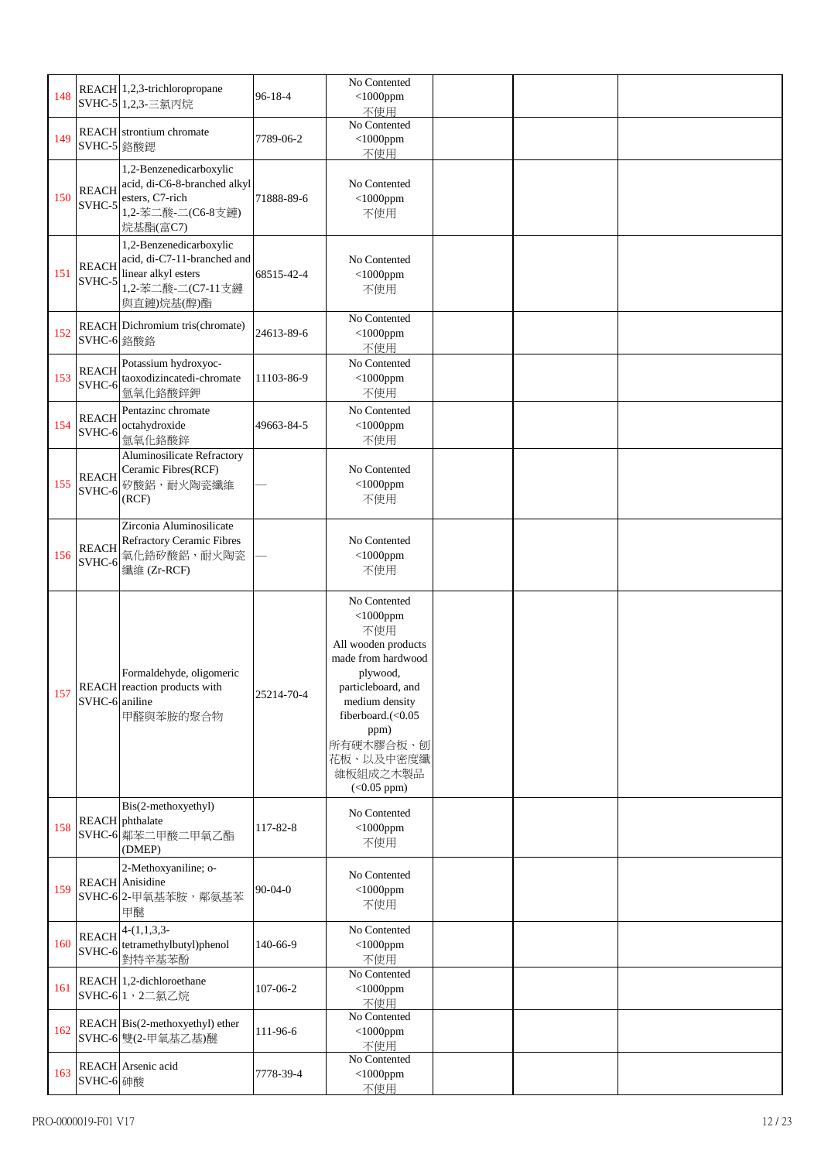| 148 |                        | REACH 1,2,3-trichloropropane                                                                                     | $96 - 18 - 4$ | No Contented<br>$<$ 1000ppm                                                                                                                                                                                             |  |  |
|-----|------------------------|------------------------------------------------------------------------------------------------------------------|---------------|-------------------------------------------------------------------------------------------------------------------------------------------------------------------------------------------------------------------------|--|--|
|     |                        | SVHC-5 1,2,3-三氯丙烷                                                                                                |               | 不使用<br>No Contented                                                                                                                                                                                                     |  |  |
| 149 | SVHC-5 鉻酸鍶             | <b>REACH</b> strontium chromate                                                                                  | 7789-06-2     | $<$ 1000ppm<br>不使用                                                                                                                                                                                                      |  |  |
| 150 | <b>REACH</b><br>SVHC-5 | 1,2-Benzenedicarboxylic<br>acid, di-C6-8-branched alkyl<br>esters, C7-rich<br>1,2-苯二酸-二(C6-8支鏈)<br>烷基酯(富C7)      | 71888-89-6    | No Contented<br>$<$ 1000ppm<br>不使用                                                                                                                                                                                      |  |  |
| 151 | <b>REACH</b><br>SVHC-5 | 1,2-Benzenedicarboxylic<br>acid, di-C7-11-branched and<br>linear alkyl esters<br>1,2-苯二酸-二(C7-11支鏈<br>與直鏈)烷基(醇)酯 | 68515-42-4    | No Contented<br>$<$ 1000ppm<br>不使用                                                                                                                                                                                      |  |  |
| 152 | SVHC-6 鉻酸鉻             | REACH Dichromium tris(chromate)                                                                                  | 24613-89-6    | No Contented<br>$<$ 1000ppm<br>不使用                                                                                                                                                                                      |  |  |
| 153 | <b>REACH</b><br>SVHC-6 | Potassium hydroxyoc-<br>taoxodizincatedi-chromate<br>氫氧化鉻酸鋅鉀                                                     | 11103-86-9    | No Contented<br>$<$ 1000ppm<br>不使用                                                                                                                                                                                      |  |  |
| 154 | <b>REACH</b><br>SVHC-6 | Pentazinc chromate<br>octahydroxide<br>氫氧化鉻酸鋅                                                                    | 49663-84-5    | No Contented<br>$<$ 1000ppm<br>不使用                                                                                                                                                                                      |  |  |
| 155 | <b>REACH</b><br>SVHC-6 | Aluminosilicate Refractory<br>Ceramic Fibres(RCF)<br>矽酸鋁,耐火陶瓷纖維<br>(RCF)                                         |               | No Contented<br>$<$ 1000ppm<br>不使用                                                                                                                                                                                      |  |  |
| 156 | <b>REACH</b><br>SVHC-6 | Zirconia Aluminosilicate<br><b>Refractory Ceramic Fibres</b><br>氧化鋯矽酸鋁,耐火陶瓷<br>纖維 (Zr-RCF)                       |               | No Contented<br>$<$ 1000ppm<br>不使用                                                                                                                                                                                      |  |  |
| 157 | SVHC-6 aniline         | Formaldehyde, oligomeric<br>REACH reaction products with<br>甲醛與苯胺的聚合物                                            | 25214-70-4    | No Contented<br>$<$ 1000ppm<br>不使用<br>All wooden products<br>made from hardwood<br>plywood,<br>particleboard, and<br>medium density<br>fiberboard.(<0.05<br>ppm)<br>所有硬木膠合板、刨<br>花板、以及中密度纖<br>維板組成之木製品<br>$(<0.05$ ppm) |  |  |
| 158 |                        | Bis(2-methoxyethyl)<br><b>REACH</b> phthalate<br>SVHC-6 鄰苯二甲酸二甲氧乙酯<br>(DMEP)                                     | 117-82-8      | No Contented<br>$<$ 1000ppm<br>不使用                                                                                                                                                                                      |  |  |
| 159 |                        | 2-Methoxyaniline; o-<br><b>REACH</b> Anisidine<br>SVHC-6 2-甲氧基苯胺, 鄰氨基苯<br>甲醚                                     | $90 - 04 - 0$ | No Contented<br>$<$ 1000ppm<br>不使用                                                                                                                                                                                      |  |  |
| 160 | <b>REACH</b><br>SVHC-6 | $4-(1,1,3,3-$<br>tetramethylbutyl)phenol<br>對特辛基苯酚                                                               | 140-66-9      | No Contented<br>$<$ 1000ppm<br>不使用                                                                                                                                                                                      |  |  |
| 161 |                        | REACH 1,2-dichloroethane<br>SVHC-6 1, 2二氯乙烷                                                                      | 107-06-2      | No Contented<br>$<$ 1000ppm<br>不使用                                                                                                                                                                                      |  |  |
| 162 |                        | REACH Bis(2-methoxyethyl) ether<br>SVHC-6 雙(2-甲氧基乙基)醚                                                            | 111-96-6      | No Contented<br>$<$ 1000ppm<br>不使用                                                                                                                                                                                      |  |  |
| 163 | SVHC-6 砷酸              | REACH Arsenic acid                                                                                               | 7778-39-4     | No Contented<br>$<$ 1000ppm<br>不使用                                                                                                                                                                                      |  |  |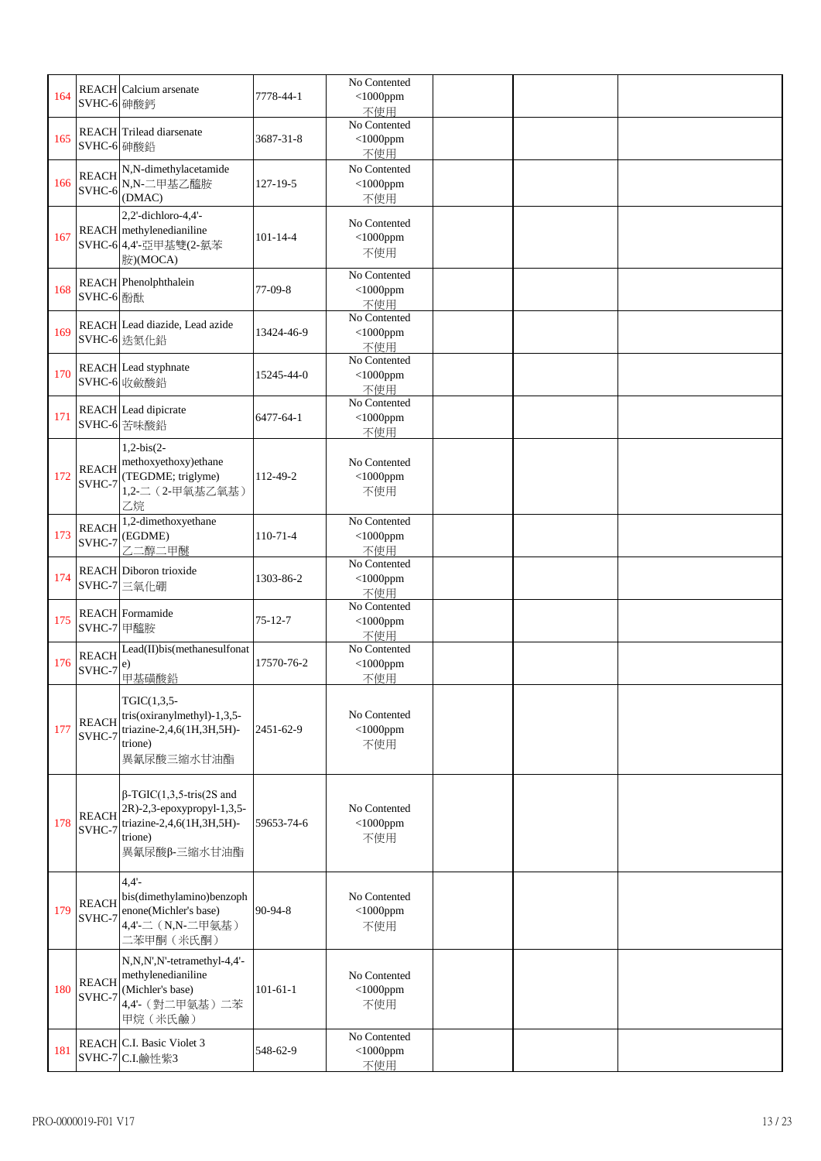| 164 | SVHC-6 砷酸鈣             | <b>REACH</b> Calcium arsenate                                                                                         | 7778-44-1      | No Contented<br>$<$ 1000ppm<br>不使用 |  |  |
|-----|------------------------|-----------------------------------------------------------------------------------------------------------------------|----------------|------------------------------------|--|--|
| 165 | SVHC-6 砷酸鉛             | <b>REACH</b> Trilead diarsenate                                                                                       | 3687-31-8      | No Contented<br>$<$ 1000ppm<br>不使用 |  |  |
| 166 | <b>REACH</b><br>SVHC-6 | N,N-dimethylacetamide<br>N,N-二甲基乙醯胺<br>(DMAC)                                                                         | 127-19-5       | No Contented<br>$<$ 1000ppm<br>不使用 |  |  |
| 167 |                        | 2,2'-dichloro-4,4'-<br>REACH methylenedianiline<br>SVHC-6 4,4'-亞甲基雙(2-氯苯<br>胺)(MOCA)                                  | $101 - 14 - 4$ | No Contented<br>$<$ 1000ppm<br>不使用 |  |  |
| 168 | SVHC-6 酚酞              | REACH Phenolphthalein                                                                                                 | 77-09-8        | No Contented<br>$<$ 1000ppm<br>不使用 |  |  |
| 169 |                        | REACH Lead diazide, Lead azide<br>SVHC-6 迭氮化鉛                                                                         | 13424-46-9     | No Contented<br>$<$ 1000ppm<br>不使用 |  |  |
| 170 |                        | REACH Lead styphnate<br>SVHC-6 收斂酸鉛                                                                                   | 15245-44-0     | No Contented<br>$<$ 1000ppm<br>不使用 |  |  |
| 171 |                        | <b>REACH</b> Lead dipicrate<br>SVHC-6 苦味酸鉛                                                                            | 6477-64-1      | No Contented<br>$<$ 1000ppm<br>不使用 |  |  |
| 172 | <b>REACH</b><br>SVHC-7 | $1,2-bis(2-$<br>methoxyethoxy)ethane<br>(TEGDME; triglyme)<br>1,2-二 (2-甲氧基乙氧基)<br>乙烷                                  | 112-49-2       | No Contented<br>$<$ 1000ppm<br>不使用 |  |  |
| 173 | <b>REACH</b><br>SVHC-7 | 1,2-dimethoxyethane<br>(EGDME)<br>乙二醇二甲醚                                                                              | $110-71-4$     | No Contented<br>$<$ 1000ppm<br>不使用 |  |  |
| 174 |                        | <b>REACH</b> Diboron trioxide<br>SVHC-7 三氧化硼                                                                          | 1303-86-2      | No Contented<br>$<$ 1000ppm<br>不使用 |  |  |
| 175 | SVHC-7 甲醯胺             | <b>REACH</b> Formamide                                                                                                | $75 - 12 - 7$  | No Contented<br>$<$ 1000ppm<br>不使用 |  |  |
| 176 | <b>REACH</b><br>SVHC-7 | Lead(II)bis(methanesulfonat<br>e)<br>甲基磺酸鉛                                                                            | 17570-76-2     | No Contented<br>$<$ 1000ppm<br>不使用 |  |  |
| 177 | <b>REACH</b><br>SVHC-7 | $TGIC(1,3,5-$<br>tris(oxiranylmethyl)-1,3,5-<br>triazine-2,4,6(1H,3H,5H)-<br>trione)<br>異氰尿酸三縮水甘油酯                    | 2451-62-9      | No Contented<br>$<$ 1000ppm<br>不使用 |  |  |
| 178 | <b>REACH</b><br>SVHC-7 | $\beta$ -TGIC(1,3,5-tris(2S and<br>2R)-2,3-epoxypropyl-1,3,5-<br>triazine-2,4,6(1H,3H,5H)-<br>trione)<br>異氰尿酸β-三縮水甘油酯 | 59653-74-6     | No Contented<br>$<$ 1000ppm<br>不使用 |  |  |
| 179 | <b>REACH</b><br>SVHC-7 | $4,4'$ -<br>bis(dimethylamino)benzoph<br>enone(Michler's base)<br>4,4'-二 (N,N-二甲氨基)<br>二苯甲酮(米氏酮)                      | 90-94-8        | No Contented<br>$<$ 1000ppm<br>不使用 |  |  |
| 180 | <b>REACH</b><br>SVHC-7 | N,N,N',N'-tetramethyl-4,4'-<br>methylenedianiline<br>(Michler's base)<br>4,4'- (對二甲氨基) 二苯<br>甲烷 (米氏鹼)                 | $101-61-1$     | No Contented<br>$<$ 1000ppm<br>不使用 |  |  |
| 181 |                        | REACH C.I. Basic Violet 3<br>SVHC-7 C.I.鹼性紫3                                                                          | 548-62-9       | No Contented<br>$<$ 1000ppm<br>不使用 |  |  |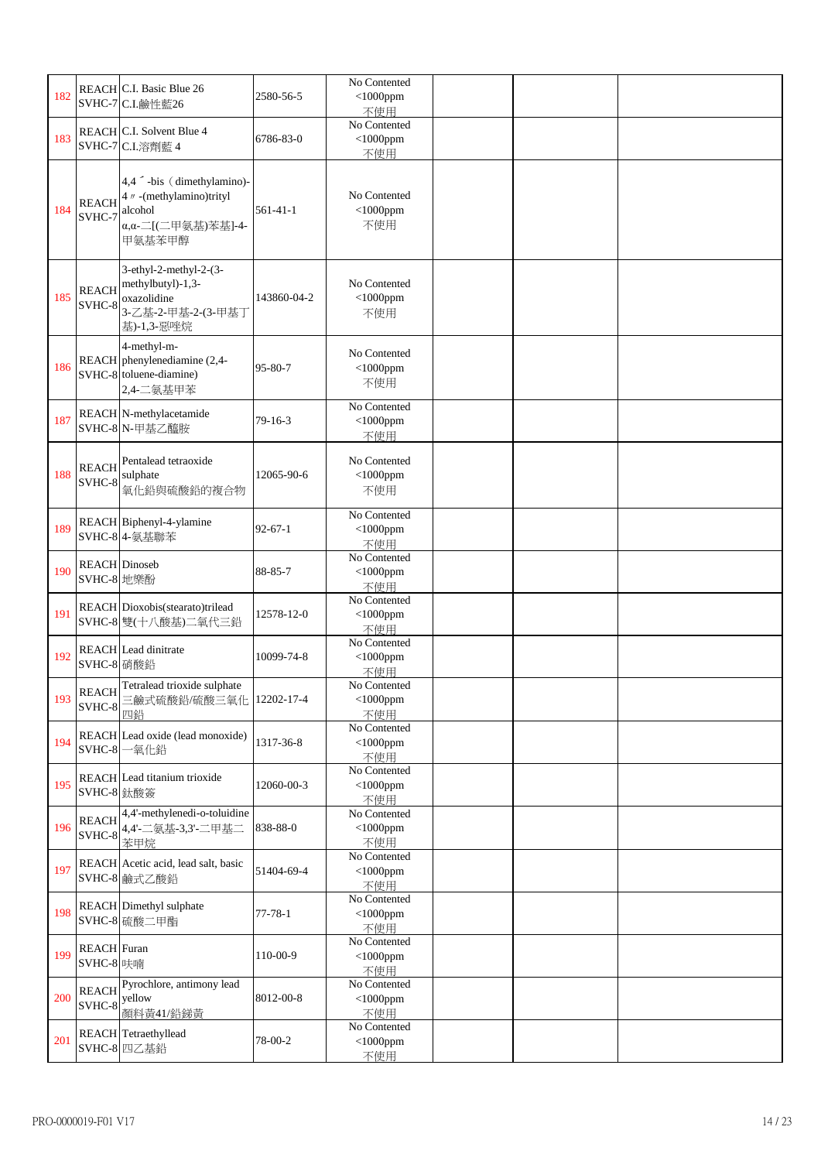| 182 |                                    | REACH C.I. Basic Blue 26<br>SVHC-7 C.I.鹼性藍26                                                       | 2580-56-5      | No Contented<br>$<$ 1000ppm<br>不使用 |  |  |
|-----|------------------------------------|----------------------------------------------------------------------------------------------------|----------------|------------------------------------|--|--|
| 183 |                                    | REACH C.I. Solvent Blue 4<br>SVHC-7 C.I.溶劑藍 4                                                      | 6786-83-0      | No Contented<br>$<$ 1000ppm<br>不使用 |  |  |
| 184 | <b>REACH</b><br>SVHC-7             | 4,4 - bis (dimethylamino)-<br>4 // -(methylamino)trityl<br>alcohol<br>α,α-二[(二甲氨基)苯基]-4-<br>甲氨基苯甲醇 | $561 - 41 - 1$ | No Contented<br>$<$ 1000ppm<br>不使用 |  |  |
| 185 | <b>REACH</b><br>SVHC-8             | 3-ethyl-2-methyl-2-(3-<br>methylbutyl)-1,3-<br>oxazolidine<br>3-乙基-2-甲基-2-(3-甲基丁<br>基)-1,3-惡唑烷     | 143860-04-2    | No Contented<br>$<$ 1000ppm<br>不使用 |  |  |
| 186 |                                    | 4-methyl-m-<br>REACH phenylenediamine (2,4-<br>SVHC-8 toluene-diamine)<br>2,4-二氨基甲苯                | 95-80-7        | No Contented<br>$<$ 1000ppm<br>不使用 |  |  |
| 187 |                                    | <b>REACH</b> N-methylacetamide<br>SVHC-8 N-甲基乙醯胺                                                   | $79 - 16 - 3$  | No Contented<br>$<$ 1000ppm<br>不使用 |  |  |
| 188 | <b>REACH</b><br>SVHC-8             | Pentalead tetraoxide<br>sulphate<br>氧化鉛與硫酸鉛的複合物                                                    | 12065-90-6     | No Contented<br>$<$ 1000ppm<br>不使用 |  |  |
| 189 |                                    | REACH Biphenyl-4-ylamine<br>SVHC-8 4- 氨基聯苯                                                         | $92 - 67 - 1$  | No Contented<br>$<$ 1000ppm<br>不使用 |  |  |
| 190 | <b>REACH</b> Dinoseb<br>SVHC-8 地樂酚 |                                                                                                    | 88-85-7        | No Contented<br>$<$ 1000ppm<br>不使用 |  |  |
| 191 |                                    | REACH Dioxobis(stearato)trilead<br>SVHC-8 雙(十八酸基)二氧代三鉛                                             | 12578-12-0     | No Contented<br>$<$ 1000ppm<br>不使用 |  |  |
| 192 | SVHC-8 硝酸鉛                         | <b>REACH</b> Lead dinitrate                                                                        | 10099-74-8     | No Contented<br>$<$ 1000ppm<br>不使用 |  |  |
| 193 | SVHC-8                             | REACH Tetralead trioxide sulphate<br>三鹼式硫酸鉛/硫酸三氧化 12202-17-4<br>四鉛                                 |                | No Contented<br>$<$ 1000ppm<br>不使用 |  |  |
| 194 |                                    | REACH Lead oxide (lead monoxide)<br>SVHC-8 一氧化鉛                                                    | 1317-36-8      | No Contented<br>$<$ 1000ppm<br>不使用 |  |  |
| 195 | SVHC-8 鈦酸簽                         | REACH Lead titanium trioxide                                                                       | 12060-00-3     | No Contented<br>$<$ 1000ppm<br>不使用 |  |  |
| 196 | <b>REACH</b>                       | 4,4'-methylenedi-o-toluidine<br>SVHC-8 4,4'二氨基-3,3'-二甲基二<br>苯甲烷                                    | 838-88-0       | No Contented<br>$<$ 1000ppm<br>不使用 |  |  |
| 197 |                                    | REACH Acetic acid, lead salt, basic<br>SVHC-8 鹼式乙酸鉛                                                | 51404-69-4     | No Contented<br>$<$ 1000ppm<br>不使用 |  |  |
| 198 |                                    | REACH Dimethyl sulphate<br>SVHC-8 硫酸二甲酯                                                            | $77 - 78 - 1$  | No Contented<br>$<$ 1000ppm<br>不使用 |  |  |
| 199 | <b>REACH</b> Furan<br>SVHC-8 呋喃    |                                                                                                    | 110-00-9       | No Contented<br>$<$ 1000ppm<br>不使用 |  |  |
| 200 | <b>REACH</b><br>SVHC-8             | Pyrochlore, antimony lead<br>yellow<br>顏料黃41/鉛銻黃                                                   | 8012-00-8      | No Contented<br>$<$ 1000ppm<br>不使用 |  |  |
| 201 |                                    | REACH Tetraethyllead<br>SVHC-8 四乙基鉛                                                                | 78-00-2        | No Contented<br>$<$ 1000ppm<br>不使用 |  |  |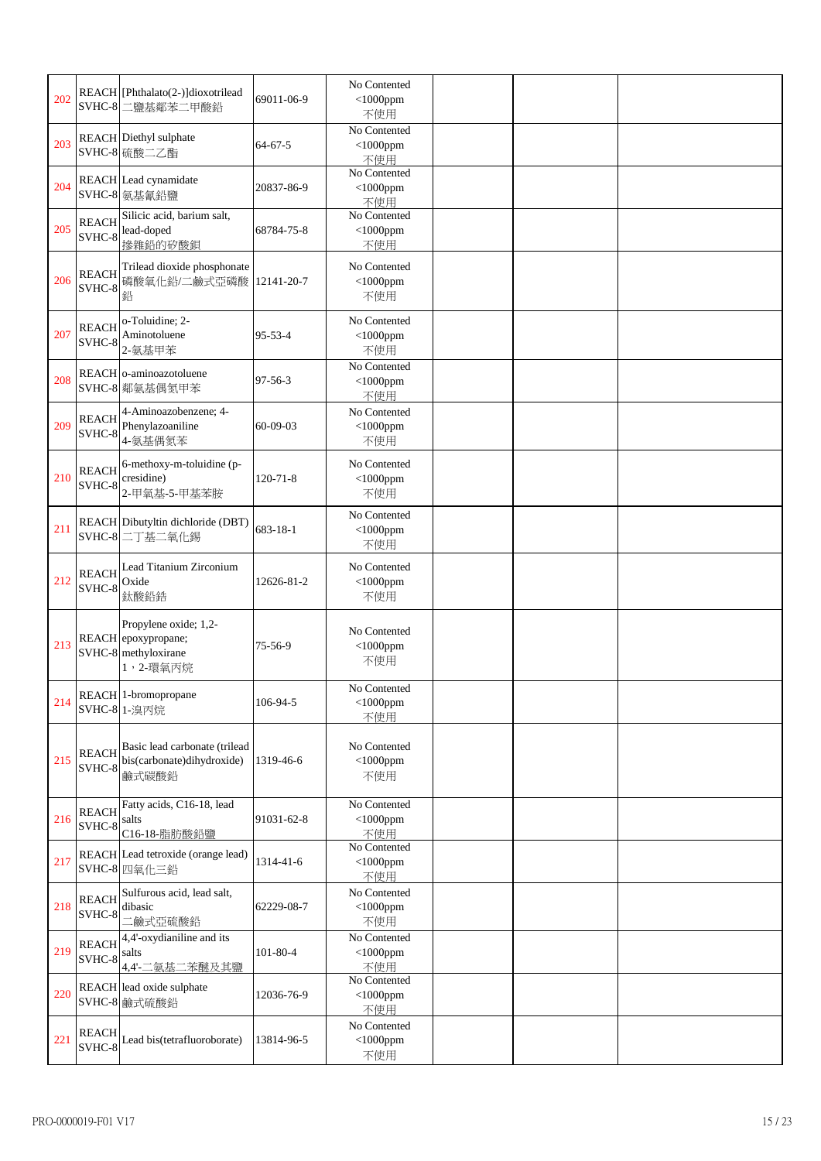| 202 | SVHC-8                 | REACH [Phthalato(2-)]dioxotrilead<br>二鹽基鄰苯二甲酸鉛                                   | 69011-06-9     | No Contented<br>$<$ 1000ppm<br>不使用 |  |  |
|-----|------------------------|----------------------------------------------------------------------------------|----------------|------------------------------------|--|--|
| 203 |                        | <b>REACH</b> Diethyl sulphate<br>SVHC-8 硫酸二乙酯                                    | $64 - 67 - 5$  | No Contented<br>$<$ 1000ppm<br>不使用 |  |  |
| 204 |                        | REACH Lead cynamidate<br>SVHC-8 氨基氰鉛鹽                                            | 20837-86-9     | No Contented<br>$<$ 1000ppm<br>不使用 |  |  |
| 205 | <b>REACH</b><br>SVHC-8 | Silicic acid, barium salt,<br>lead-doped<br>掺雜鉛的矽酸鋇                              | 68784-75-8     | No Contented<br>$<$ 1000ppm<br>不使用 |  |  |
| 206 | <b>REACH</b><br>SVHC-8 | Trilead dioxide phosphonate<br>磷酸氧化鉛/二鹼式亞磷酸<br>鉛                                 | 12141-20-7     | No Contented<br>$<$ 1000ppm<br>不使用 |  |  |
| 207 | <b>REACH</b><br>SVHC-8 | o-Toluidine; 2-<br>Aminotoluene<br>2-氨基甲苯                                        | $95 - 53 - 4$  | No Contented<br>$<$ 1000ppm<br>不使用 |  |  |
| 208 |                        | REACH o-aminoazotoluene<br>SVHC-8 鄰氨基偶氮甲苯                                        | $97 - 56 - 3$  | No Contented<br>$<$ 1000ppm<br>不使用 |  |  |
| 209 | <b>REACH</b><br>SVHC-8 | 4-Aminoazobenzene; 4-<br>Phenylazoaniline<br>4-氨基偶氮苯                             | 60-09-03       | No Contented<br>$<$ 1000ppm<br>不使用 |  |  |
| 210 | <b>REACH</b><br>SVHC-8 | 6-methoxy-m-toluidine (p-<br>cresidine)<br>2-甲氧基-5-甲基苯胺                          | $120 - 71 - 8$ | No Contented<br>$<$ 1000ppm<br>不使用 |  |  |
| 211 |                        | REACH Dibutyltin dichloride (DBT)<br>SVHC-8 二丁基二氧化錫                              | 683-18-1       | No Contented<br>$<$ 1000ppm<br>不使用 |  |  |
| 212 | <b>REACH</b><br>SVHC-8 | Lead Titanium Zirconium<br>Oxide<br>鈦酸鉛鋯                                         | 12626-81-2     | No Contented<br>$<$ 1000ppm<br>不使用 |  |  |
| 213 |                        | Propylene oxide; 1,2-<br>REACH epoxypropane;<br>SVHC-8 methyloxirane<br>1,2-環氧丙烷 | $75 - 56 - 9$  | No Contented<br>$<$ 1000ppm<br>不使用 |  |  |
| 214 |                        | REACH 1-bromopropane<br>SVHC-8 1-溴丙烷                                             | 106-94-5       | No Contented<br>$<$ 1000ppm<br>不使用 |  |  |
| 215 | <b>REACH</b><br>SVHC-8 | Basic lead carbonate (trilead<br>bis(carbonate)dihydroxide)<br>鹼式碳酸鉛             | 1319-46-6      | No Contented<br>$<$ 1000ppm<br>不使用 |  |  |
| 216 | <b>REACH</b><br>SVHC-8 | Fatty acids, C16-18, lead<br>salts<br>C16-18-脂肪酸鉛鹽                               | 91031-62-8     | No Contented<br>$<$ 1000ppm<br>不使用 |  |  |
| 217 |                        | REACH Lead tetroxide (orange lead)<br>SVHC-8 四氧化三鉛                               | 1314-41-6      | No Contented<br>$<$ 1000ppm<br>不使用 |  |  |
| 218 | <b>REACH</b><br>SVHC-8 | Sulfurous acid, lead salt,<br>dibasic<br>二鹼式亞硫酸鉛                                 | 62229-08-7     | No Contented<br>$<$ 1000ppm<br>不使用 |  |  |
| 219 | <b>REACH</b><br>SVHC-8 | 4,4'-oxydianiline and its<br>salts<br>4,4'-二氨基二苯醚及其鹽                             | 101-80-4       | No Contented<br>$<$ 1000ppm<br>不使用 |  |  |
| 220 |                        | REACH lead oxide sulphate<br>SVHC-8 鹼式硫酸鉛                                        | 12036-76-9     | No Contented<br>$<$ 1000ppm<br>不使用 |  |  |
| 221 | <b>REACH</b><br>SVHC-8 | Lead bis(tetrafluoroborate)                                                      | 13814-96-5     | No Contented<br>$<$ 1000ppm<br>不使用 |  |  |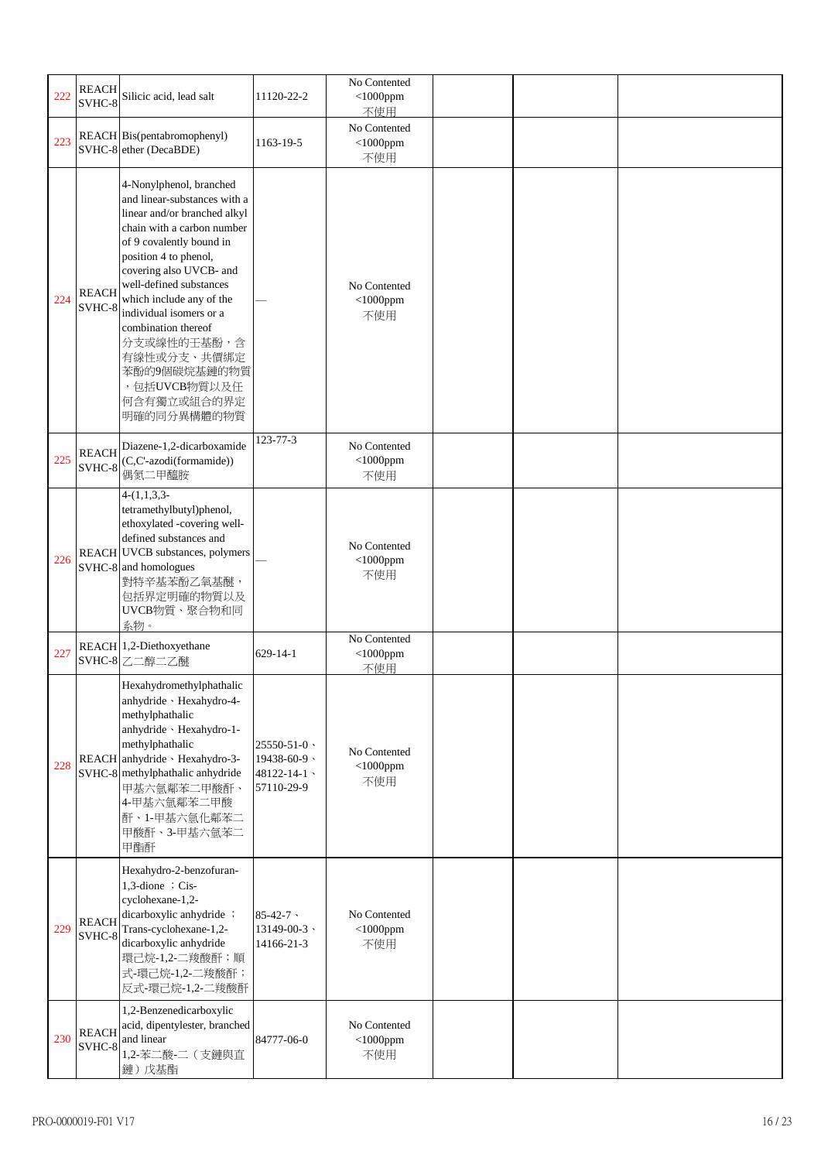| 222 | <b>REACH</b><br>SVHC-8 | Silicic acid, lead salt                                                                                                                                                                                                                                                                                                                                                                                    | 11120-22-2                                                       | No Contented<br>$<$ 1000ppm<br>不使用 |  |  |
|-----|------------------------|------------------------------------------------------------------------------------------------------------------------------------------------------------------------------------------------------------------------------------------------------------------------------------------------------------------------------------------------------------------------------------------------------------|------------------------------------------------------------------|------------------------------------|--|--|
| 223 |                        | REACH Bis(pentabromophenyl)<br>SVHC-8 ether (DecaBDE)                                                                                                                                                                                                                                                                                                                                                      | 1163-19-5                                                        | No Contented<br>$<$ 1000ppm<br>不使用 |  |  |
| 224 | <b>REACH</b><br>SVHC-8 | 4-Nonylphenol, branched<br>and linear-substances with a<br>linear and/or branched alkyl<br>chain with a carbon number<br>of 9 covalently bound in<br>position 4 to phenol,<br>covering also UVCB- and<br>well-defined substances<br>which include any of the<br>individual isomers or a<br>combination thereof<br>分支或線性的壬基酚,含<br>有線性或分支、共價綁定<br>苯酚的9個碳烷基鏈的物質<br>,包括UVCB物質以及任<br>何含有獨立或組合的界定<br>明確的同分異構體的物質 |                                                                  | No Contented<br>$<$ 1000ppm<br>不使用 |  |  |
| 225 | <b>REACH</b><br>SVHC-8 | Diazene-1,2-dicarboxamide<br>(C,C'-azodi(formamide))<br>偶氮二甲醯胺                                                                                                                                                                                                                                                                                                                                             | 123-77-3                                                         | No Contented<br>$<$ 1000ppm<br>不使用 |  |  |
| 226 |                        | $4-(1,1,3,3-$<br>tetramethylbutyl)phenol,<br>ethoxylated -covering well-<br>defined substances and<br>REACH UVCB substances, polymers<br>SVHC-8 and homologues<br>對特辛基苯酚乙氧基醚,<br>包括界定明確的物質以及<br>UVCB物質、聚合物和同<br>系物。                                                                                                                                                                                        |                                                                  | No Contented<br>$<$ 1000ppm<br>不使用 |  |  |
| 227 |                        | REACH 1,2-Diethoxyethane<br>SVHC-8 乙二醇二乙醚                                                                                                                                                                                                                                                                                                                                                                  | $629 - 14 - 1$                                                   | No Contented<br>$<$ 1000ppm<br>不使用 |  |  |
| 228 |                        | Hexahydromethylphathalic<br>anhydride · Hexahydro-4-<br>methylphathalic<br>anhydride · Hexahydro-1-<br>methylphathalic<br>REACH anhydride · Hexahydro-3-<br>SVHC-8 methylphathalic anhydride<br>甲基六氫鄰苯二甲酸酐、<br>4-甲基六氫鄰苯二甲酸<br>酐、1-甲基六氫化鄰苯二<br>甲酸酐、3-甲基六氫苯二<br>甲酯酐                                                                                                                                          | $25550 - 51 - 0$ ·<br>19438-60-9 \<br>48122-14-1 \<br>57110-29-9 | No Contented<br>$<$ 1000ppm<br>不使用 |  |  |
| 229 | <b>REACH</b><br>SVHC-8 | Hexahydro-2-benzofuran-<br>$1,3$ -dione ; Cis-<br>cyclohexane-1,2-<br>dicarboxylic anhydride ;<br>Trans-cyclohexane-1,2-<br>dicarboxylic anhydride<br>環己烷-1,2-二羧酸酐;順<br>式-環己烷-1,2-二羧酸酐;<br>反式-環己烷-1,2-二羧酸酐                                                                                                                                                                                                 | $85 - 42 - 7$<br>$13149 - 00 - 3$<br>14166-21-3                  | No Contented<br>$<$ 1000ppm<br>不使用 |  |  |
| 230 | <b>REACH</b><br>SVHC-8 | 1,2-Benzenedicarboxylic<br>acid, dipentylester, branched<br>and linear<br>1,2-苯二酸-二 (支鏈與直<br>鏈) 戊基酯                                                                                                                                                                                                                                                                                                        | 84777-06-0                                                       | No Contented<br>$<$ 1000ppm<br>不使用 |  |  |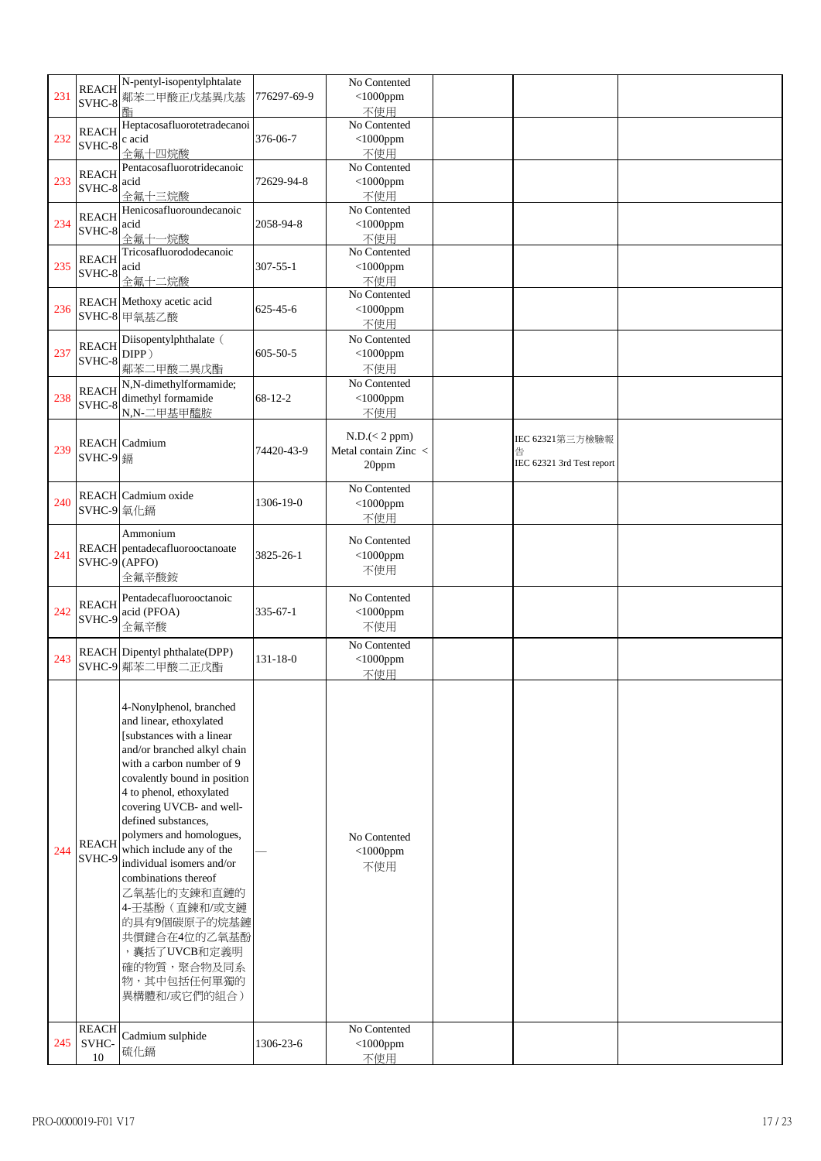| 231 | <b>REACH</b><br>SVHC-8                               | N-pentyl-isopentylphtalate<br>鄰苯二甲酸正戊基異戊基                                                                                                                                                                                                                                                                                                                                                                                                                                                               | 776297-69-9    | No Contented<br>$<$ 1000ppm                     |                                                   |  |
|-----|------------------------------------------------------|---------------------------------------------------------------------------------------------------------------------------------------------------------------------------------------------------------------------------------------------------------------------------------------------------------------------------------------------------------------------------------------------------------------------------------------------------------------------------------------------------------|----------------|-------------------------------------------------|---------------------------------------------------|--|
| 232 | <b>REACH</b><br>$\text{SVHC-8}$ $\Big \text{c acid}$ | 酯<br>Heptacosafluorotetradecanoi<br>全氟十四烷酸                                                                                                                                                                                                                                                                                                                                                                                                                                                              | 376-06-7       | 不使用<br>No Contented<br>$<$ 1000ppm<br>不使用       |                                                   |  |
| 233 | <b>REACH</b><br>SVHC-8                               | Pentacosafluorotridecanoic<br>acid<br>全氟十三烷酸                                                                                                                                                                                                                                                                                                                                                                                                                                                            | 72629-94-8     | No Contented<br>$<$ 1000ppm<br>不使用              |                                                   |  |
| 234 | <b>REACH</b><br>SVHC-8                               | Henicosafluoroundecanoic<br>acid<br>全氟十一烷酸                                                                                                                                                                                                                                                                                                                                                                                                                                                              | 2058-94-8      | No Contented<br>$<$ 1000ppm<br>不使用              |                                                   |  |
| 235 | <b>REACH</b><br>SVHC-8                               | Tricosafluorododecanoic<br>acid<br>全氟十二烷酸                                                                                                                                                                                                                                                                                                                                                                                                                                                               | $307 - 55 - 1$ | No Contented<br>$<$ 1000ppm<br>不使用              |                                                   |  |
| 236 |                                                      | REACH Methoxy acetic acid<br>SVHC-8 甲氧基乙酸                                                                                                                                                                                                                                                                                                                                                                                                                                                               | $625 - 45 - 6$ | No Contented<br>$<$ 1000ppm<br>不使用              |                                                   |  |
| 237 | <b>REACH</b><br>SVHC-8                               | Diisopentylphthalate (<br>DIPP)<br>鄰苯二甲酸二異戊酯                                                                                                                                                                                                                                                                                                                                                                                                                                                            | $605 - 50 - 5$ | No Contented<br>$<$ 1000ppm<br>不使用              |                                                   |  |
| 238 | <b>REACH</b><br>SVHC-8                               | N,N-dimethylformamide;<br>dimethyl formamide<br>N,N-二甲基甲醯胺                                                                                                                                                                                                                                                                                                                                                                                                                                              | $68 - 12 - 2$  | No Contented<br>$<$ 1000ppm<br>不使用              |                                                   |  |
| 239 | SVHC-9 鎘                                             | <b>REACH</b> Cadmium                                                                                                                                                                                                                                                                                                                                                                                                                                                                                    | 74420-43-9     | N.D. (< 2 ppm)<br>Metal contain Zinc <<br>20ppm | IEC 62321第三方檢驗報<br>告<br>IEC 62321 3rd Test report |  |
| 240 | SVHC-9 氧化鎘                                           | <b>REACH</b> Cadmium oxide                                                                                                                                                                                                                                                                                                                                                                                                                                                                              | 1306-19-0      | No Contented<br>$<$ 1000ppm<br>不使用              |                                                   |  |
| 241 | $SVHC-9$ (APFO)                                      | Ammonium<br>REACH pentadecafluorooctanoate<br>全氟辛酸銨                                                                                                                                                                                                                                                                                                                                                                                                                                                     | 3825-26-1      | No Contented<br>$<$ 1000ppm<br>不使用              |                                                   |  |
| 242 | <b>REACH</b><br>SVHC-9                               | Pentadecafluorooctanoic<br>acid (PFOA)<br>全氟辛酸                                                                                                                                                                                                                                                                                                                                                                                                                                                          | $335 - 67 - 1$ | No Contented<br>$<$ 1000ppm<br>不使用              |                                                   |  |
| 243 |                                                      | REACH Dipentyl phthalate(DPP)<br>SVHC-9 鄰苯二甲酸二正戊酯                                                                                                                                                                                                                                                                                                                                                                                                                                                       | 131-18-0       | No Contented<br>$<$ 1000ppm<br>不使用              |                                                   |  |
| 244 | <b>REACH</b><br>SVHC-9                               | 4-Nonylphenol, branched<br>and linear, ethoxylated<br>[substances with a linear<br>and/or branched alkyl chain<br>with a carbon number of 9<br>covalently bound in position<br>4 to phenol, ethoxylated<br>covering UVCB- and well-<br>defined substances,<br>polymers and homologues,<br>which include any of the<br>individual isomers and/or<br>combinations thereof<br>乙氧基化的支鍊和直鏈的<br>4-壬基酚 (直鍊和/或支鏈<br>的具有9個碳原子的烷基鏈<br>共價鍵合在4位的乙氧基酚<br>, 囊括了UVCB和定義明<br>確的物質,聚合物及同系<br>物,其中包括任何單獨的<br>異構體和/或它們的組合) |                | No Contented<br>$<$ 1000ppm<br>不使用              |                                                   |  |
| 245 | <b>REACH</b><br>SVHC-<br>10                          | Cadmium sulphide<br>硫化鎘                                                                                                                                                                                                                                                                                                                                                                                                                                                                                 | 1306-23-6      | No Contented<br>$<$ 1000ppm<br>不使用              |                                                   |  |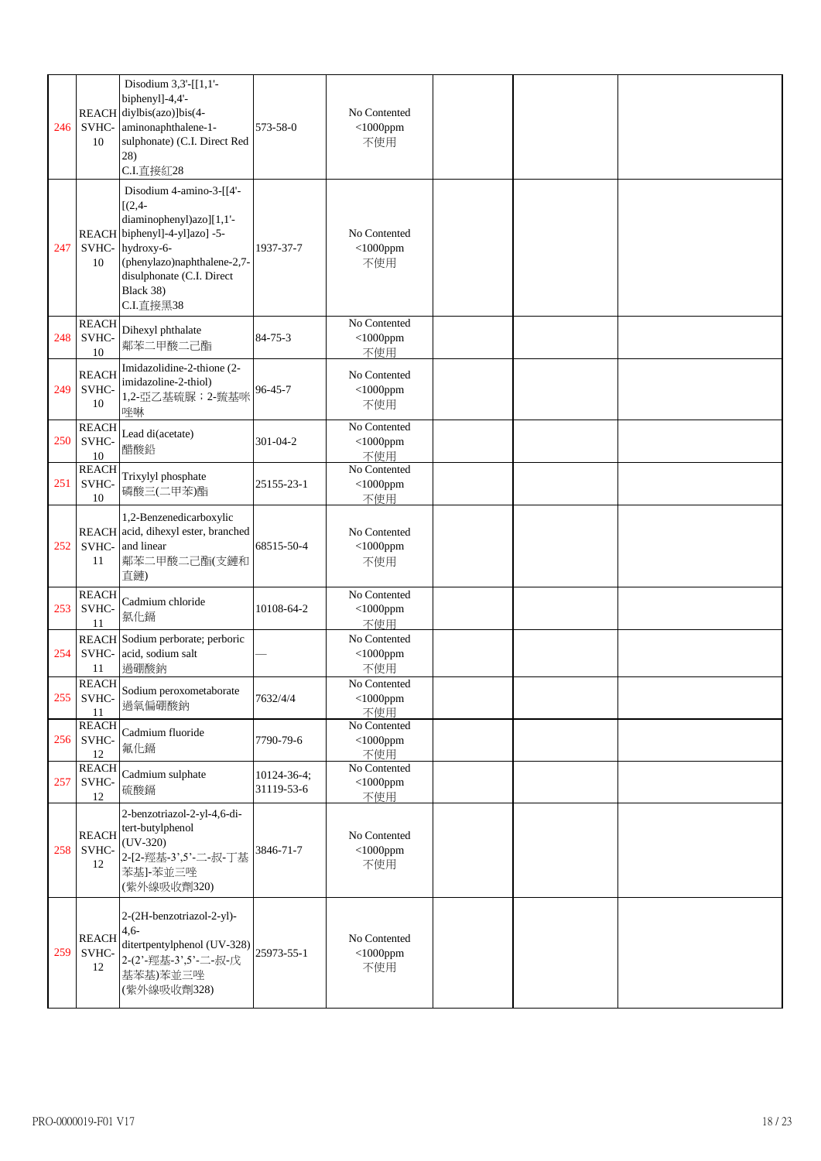| 246 | 10                          | Disodium 3,3'-[[1,1'-<br>biphenyl]-4,4'-<br>REACH diylbis(azo)]bis(4-<br>SVHC- aminonaphthalene-1-<br>sulphonate) (C.I. Direct Red<br>28)<br>C.I.直接紅28                                                        | 573-58-0                  | No Contented<br>$<$ 1000ppm<br>不使用 |  |  |
|-----|-----------------------------|---------------------------------------------------------------------------------------------------------------------------------------------------------------------------------------------------------------|---------------------------|------------------------------------|--|--|
| 247 | 10                          | Disodium 4-amino-3-[[4'-<br>$[(2, 4 -$<br>diaminophenyl)azo][1,1'-<br>REACH biphenyl]-4-yl]azo] -5-<br>SVHC- hydroxy-6-<br>(phenylazo)naphthalene-2,7-<br>disulphonate (C.I. Direct<br>Black 38)<br>C.I.直接黑38 | 1937-37-7                 | No Contented<br>$<$ 1000ppm<br>不使用 |  |  |
| 248 | <b>REACH</b><br>SVHC-<br>10 | Dihexyl phthalate<br>鄰苯二甲酸二己酯                                                                                                                                                                                 | $84 - 75 - 3$             | No Contented<br>$<$ 1000ppm<br>不使用 |  |  |
| 249 | <b>REACH</b><br>SVHC-<br>10 | Imidazolidine-2-thione (2-<br>imidazoline-2-thiol)<br>1,2-亞乙基硫脲; 2-巰基咪<br>唑啉                                                                                                                                  | $96 - 45 - 7$             | No Contented<br>$<$ 1000ppm<br>不使用 |  |  |
| 250 | <b>REACH</b><br>SVHC-<br>10 | Lead di(acetate)<br>醋酸鉛                                                                                                                                                                                       | 301-04-2                  | No Contented<br>$<$ 1000ppm<br>不使用 |  |  |
| 251 | <b>REACH</b><br>SVHC-<br>10 | Trixylyl phosphate<br>磷酸三(二甲苯)酯                                                                                                                                                                               | 25155-23-1                | No Contented<br>$<$ 1000ppm<br>不使用 |  |  |
| 252 | SVHC-<br>11                 | 1,2-Benzenedicarboxylic<br>REACH acid, dihexyl ester, branched<br>and linear<br>鄰苯二甲酸二己酯(支鏈和<br>直鏈)                                                                                                           | 68515-50-4                | No Contented<br>$<$ 1000ppm<br>不使用 |  |  |
| 253 | <b>REACH</b><br>SVHC-<br>11 | Cadmium chloride<br>氯化鎘                                                                                                                                                                                       | 10108-64-2                | No Contented<br>$<$ 1000ppm<br>不使用 |  |  |
| 254 | SVHC-<br>11                 | REACH Sodium perborate; perboric<br>acid, sodium salt<br>過硼酸鈉                                                                                                                                                 |                           | No Contented<br>$<$ 1000ppm<br>不使用 |  |  |
| 255 | <b>REACH</b><br>SVHC-<br>11 | Sodium peroxometaborate<br>過氧偏硼酸鈉                                                                                                                                                                             | 7632/4/4                  | No Contented<br>$<$ 1000ppm<br>不使用 |  |  |
| 256 | <b>REACH</b><br>SVHC-<br>12 | Cadmium fluoride<br>氟化鎘                                                                                                                                                                                       | 7790-79-6                 | No Contented<br>$<$ 1000ppm<br>不使用 |  |  |
| 257 | <b>REACH</b><br>SVHC-<br>12 | Cadmium sulphate<br>硫酸鎘                                                                                                                                                                                       | 10124-36-4;<br>31119-53-6 | No Contented<br>$<$ 1000ppm<br>不使用 |  |  |
| 258 | <b>REACH</b><br>SVHC-<br>12 | 2-benzotriazol-2-yl-4,6-di-<br>tert-butylphenol<br>$(UV-320)$<br>2-[2-羥基-3',5'-二-叔-丁基<br>苯基]-苯並三唑<br>(紫外線吸收劑320)                                                                                              | 3846-71-7                 | No Contented<br>$<$ 1000ppm<br>不使用 |  |  |
| 259 | <b>REACH</b><br>SVHC-<br>12 | 2-(2H-benzotriazol-2-yl)-<br>$4,6-$<br>ditertpentylphenol (UV-328)<br>2-(2'-羥基-3',5'-二-叔-戊<br>基苯基)苯並三唑<br>(紫外線吸收劑328)                                                                                         | 25973-55-1                | No Contented<br>$<$ 1000ppm<br>不使用 |  |  |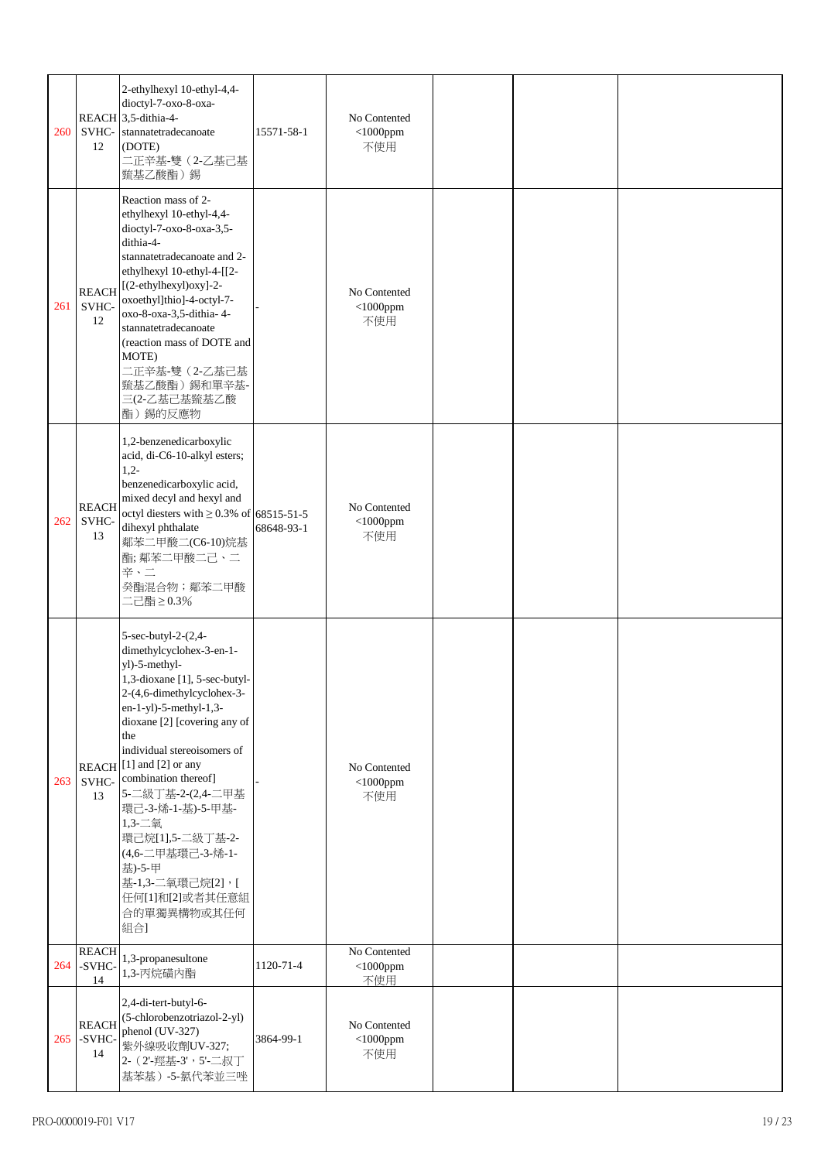| 260 | SVHC-<br>12                  | 2-ethylhexyl 10-ethyl-4,4-<br>dioctyl-7-oxo-8-oxa-<br>REACH 3,5-dithia-4-<br>stannatetradecanoate<br>(DOTE)<br>二正辛基-雙(2-乙基己基<br>巰基乙酸酯)錫                                                                                                                                                                                                                                                                                                                            | 15571-58-1 | No Contented<br>$<$ 1000ppm<br>不使用 |  |  |
|-----|------------------------------|--------------------------------------------------------------------------------------------------------------------------------------------------------------------------------------------------------------------------------------------------------------------------------------------------------------------------------------------------------------------------------------------------------------------------------------------------------------------|------------|------------------------------------|--|--|
| 261 | <b>REACH</b><br>SVHC-<br>12  | Reaction mass of 2-<br>ethylhexyl 10-ethyl-4,4-<br>dioctyl-7-oxo-8-oxa-3,5-<br>dithia-4-<br>stannatetradecanoate and 2-<br>ethylhexyl 10-ethyl-4-[[2-<br>[(2-ethylhexyl)oxy]-2-<br>oxoethyl]thio]-4-octyl-7-<br>oxo-8-oxa-3,5-dithia-4-<br>stannatetradecanoate<br>(reaction mass of DOTE and<br>MOTE)<br>二正辛基-雙 (2-乙基己基<br>巰基乙酸酯)錫和單辛基-<br>三(2-乙基己基巰基乙酸<br>酯)錫的反應物                                                                                                |            | No Contented<br>$<$ 1000ppm<br>不使用 |  |  |
| 262 | <b>REACH</b><br>SVHC-<br>13  | 1,2-benzenedicarboxylic<br>acid, di-C6-10-alkyl esters;<br>$1,2-$<br>benzenedicarboxylic acid,<br>mixed decyl and hexyl and<br>octyl diesters with $\geq$ 0.3% of 68515-51-5<br>dihexyl phthalate<br>鄰苯二甲酸二(C6-10)烷基<br>酯;鄰苯二甲酸二己、二<br>辛、二<br>癸酯混合物;鄰苯二甲酸<br>二己酯≥0.3%                                                                                                                                                                                              | 68648-93-1 | No Contented<br>$<$ 1000ppm<br>不使用 |  |  |
| 263 | SVHC-<br>13                  | 5-sec-butyl-2-(2,4-<br>dimethylcyclohex-3-en-1-<br>yl)-5-methyl-<br>1,3-dioxane [1], 5-sec-butyl-<br>2-(4,6-dimethylcyclohex-3-<br>en-1-yl)-5-methyl-1,3-<br>dioxane [2] [covering any of<br>the<br>individual stereoisomers of<br>REACH <sup>[1]</sup> and [2] or any<br>combination thereof]<br>5-二級丁基-2-(2,4-二甲基<br>環己-3-烯-1-基)-5-甲基-<br>1,3-二氧<br>環己烷[1],5-二級丁基-2-<br>(4,6-二甲基環己-3-烯-1-<br>基)-5-甲<br>基-1,3-二氧環己烷[2],[<br>任何[1]和[2]或者其任意組<br>合的單獨異構物或其任何<br>組合] |            | No Contented<br>$<$ 1000ppm<br>不使用 |  |  |
| 264 | <b>REACH</b><br>-SVHC-<br>14 | 1,3-propanesultone<br>1,3-丙烷磺内酯                                                                                                                                                                                                                                                                                                                                                                                                                                    | 1120-71-4  | No Contented<br>$<$ 1000ppm<br>不使用 |  |  |
| 265 | <b>REACH</b><br>-SVHC-<br>14 | 2,4-di-tert-butyl-6-<br>(5-chlorobenzotriazol-2-yl)<br>phenol (UV-327)<br>紫外線吸收劑UV-327;<br>2- (2'-羥基-3', 5'-二叔丁<br>基苯基)-5-氯代苯並三唑                                                                                                                                                                                                                                                                                                                                   | 3864-99-1  | No Contented<br>$<$ 1000ppm<br>不使用 |  |  |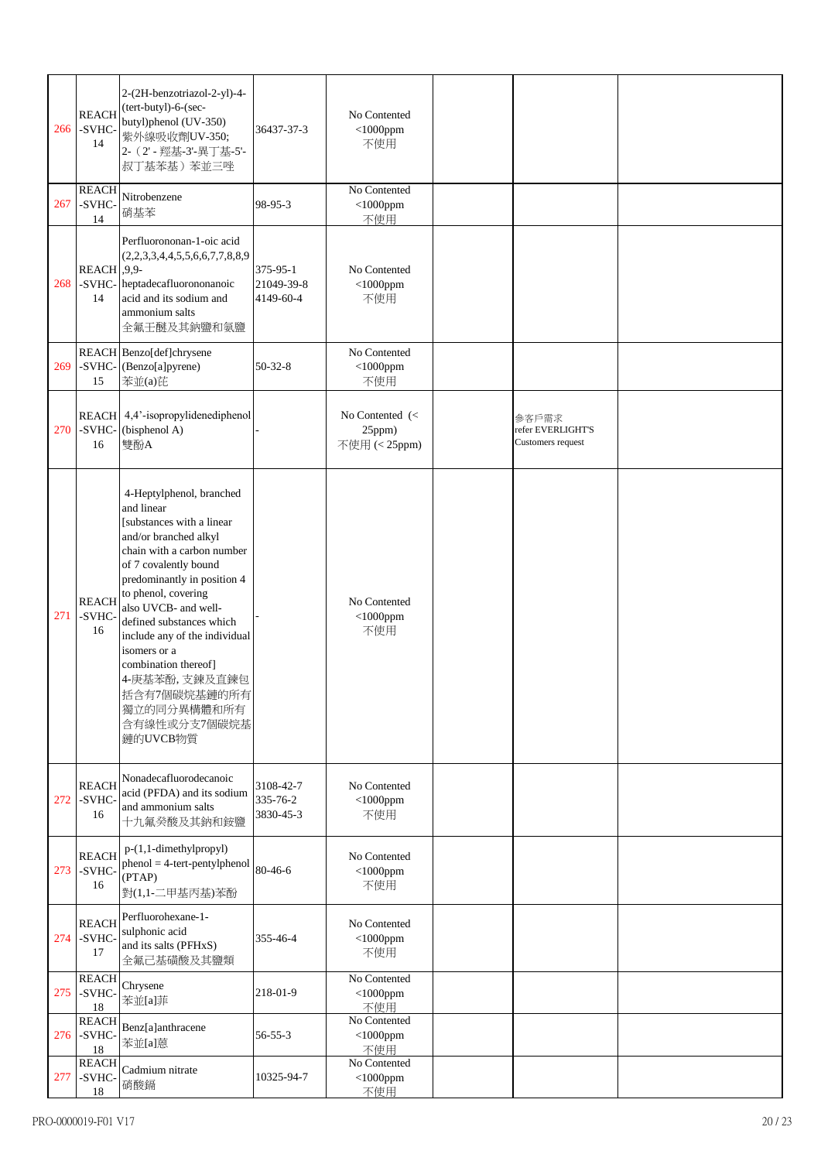| 266 | <b>REACH</b><br>-SVHC-<br>14 | 2-(2H-benzotriazol-2-yl)-4-<br>(tert-butyl)-6-(sec-<br>butyl)phenol (UV-350)<br>紫外線吸收劑UV-350;<br>2- (2' - 羥基-3'-異丁基-5'-<br>叔丁基苯基)苯並三唑                                                                                                                                                                                                                                                                               | 36437-37-3                          | No Contented<br>$<$ 1000ppm<br>不使用         |                                                 |  |
|-----|------------------------------|---------------------------------------------------------------------------------------------------------------------------------------------------------------------------------------------------------------------------------------------------------------------------------------------------------------------------------------------------------------------------------------------------------------------|-------------------------------------|--------------------------------------------|-------------------------------------------------|--|
| 267 | <b>REACH</b><br>-SVHC-<br>14 | Nitrobenzene<br>硝基苯                                                                                                                                                                                                                                                                                                                                                                                                 | 98-95-3                             | No Contented<br>$<$ 1000ppm<br>不使用         |                                                 |  |
| 268 | $REACH$ , 9,9-<br>14         | Perfluorononan-1-oic acid<br>(2,2,3,3,4,4,5,5,6,6,7,7,8,8,9)<br>-SVHC- heptadecafluorononanoic<br>acid and its sodium and<br>ammonium salts<br>全氟壬醚及其鈉鹽和氨鹽                                                                                                                                                                                                                                                          | 375-95-1<br>21049-39-8<br>4149-60-4 | No Contented<br>$<$ 1000ppm<br>不使用         |                                                 |  |
| 269 | 15                           | REACH Benzo[def]chrysene<br>-SVHC-(Benzo[a]pyrene)<br>苯並(a)芘                                                                                                                                                                                                                                                                                                                                                        | $50 - 32 - 8$                       | No Contented<br>$<$ 1000ppm<br>不使用         |                                                 |  |
| 270 | -SVHC-<br>16                 | REACH 4,4'-isopropylidenediphenol<br>(bisphenol A)<br>雙酚A                                                                                                                                                                                                                                                                                                                                                           |                                     | No Contented (<<br>25ppm)<br>不使用 (< 25ppm) | 参客戶需求<br>refer EVERLIGHT'S<br>Customers request |  |
| 271 | <b>REACH</b><br>-SVHC-<br>16 | 4-Heptylphenol, branched<br>and linear<br>[substances with a linear<br>and/or branched alkyl<br>chain with a carbon number<br>of 7 covalently bound<br>predominantly in position 4<br>to phenol, covering<br>also UVCB- and well-<br>defined substances which<br>include any of the individual<br>isomers or a<br>combination thereof]<br>4-庚基苯酚,支鍊及直鍊包<br> 括含有7個碳烷基鏈的所有<br>獨立的同分異構體和所有<br>含有線性或分支7個碳烷基<br>鏈的UVCB物質 |                                     | No Contented<br>$<$ 1000ppm<br>不使用         |                                                 |  |
| 272 | <b>REACH</b><br>-SVHC-<br>16 | Nonadecafluorodecanoic<br>acid (PFDA) and its sodium<br>and ammonium salts<br>十九氟癸酸及其鈉和銨鹽                                                                                                                                                                                                                                                                                                                           | 3108-42-7<br>335-76-2<br>3830-45-3  | No Contented<br>$<$ 1000ppm<br>不使用         |                                                 |  |
| 273 | <b>REACH</b><br>-SVHC-<br>16 | p-(1,1-dimethylpropyl)<br>$phenol = 4-tert-penty1phenol$<br>(PTAP)<br>對(1,1-二甲基丙基)苯酚                                                                                                                                                                                                                                                                                                                                | 80-46-6                             | No Contented<br>$<$ 1000ppm<br>不使用         |                                                 |  |
| 274 | <b>REACH</b><br>-SVHC-<br>17 | Perfluorohexane-1-<br>sulphonic acid<br>and its salts (PFHxS)<br>全氟己基磺酸及其鹽類                                                                                                                                                                                                                                                                                                                                         | 355-46-4                            | No Contented<br>$<$ 1000ppm<br>不使用         |                                                 |  |
| 275 | <b>REACH</b><br>-SVHC-<br>18 | Chrysene<br>苯並[a]菲                                                                                                                                                                                                                                                                                                                                                                                                  | 218-01-9                            | No Contented<br>$<$ 1000ppm<br>不使用         |                                                 |  |
| 276 | <b>REACH</b><br>-SVHC-<br>18 | Benz[a]anthracene<br>苯並[a]蒽                                                                                                                                                                                                                                                                                                                                                                                         | $56 - 55 - 3$                       | No Contented<br>$<$ 1000ppm<br>不使用         |                                                 |  |
| 277 | <b>REACH</b><br>-SVHC-<br>18 | Cadmium nitrate<br>硝酸鎘                                                                                                                                                                                                                                                                                                                                                                                              | 10325-94-7                          | No Contented<br>$<$ 1000ppm<br>不使用         |                                                 |  |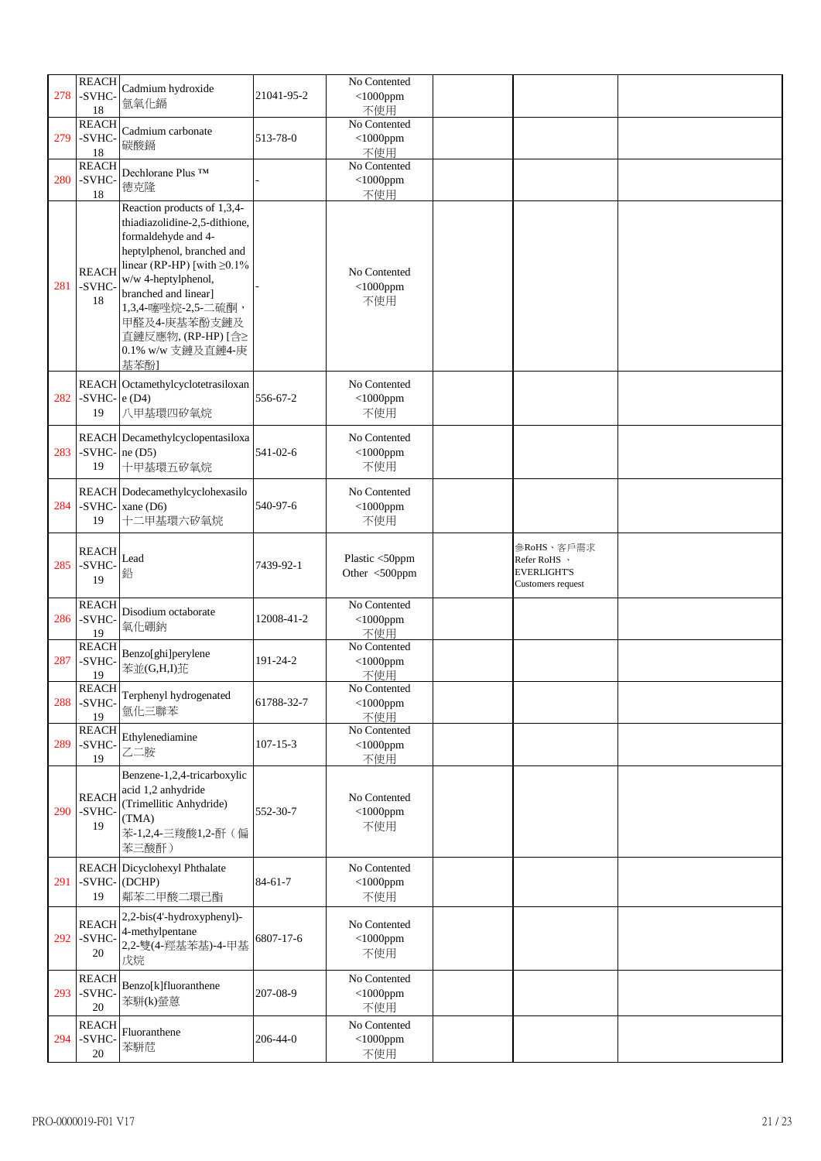|     | <b>REACH</b>                 |                                                                                                                                                                                                                                                                |                | No Contented                       |                                                                       |  |
|-----|------------------------------|----------------------------------------------------------------------------------------------------------------------------------------------------------------------------------------------------------------------------------------------------------------|----------------|------------------------------------|-----------------------------------------------------------------------|--|
| 278 | -SVHC-<br>18                 | Cadmium hydroxide<br>氫氧化鎘                                                                                                                                                                                                                                      | 21041-95-2     | $<$ 1000ppm<br>不使用                 |                                                                       |  |
|     | <b>REACH</b>                 |                                                                                                                                                                                                                                                                |                | No Contented                       |                                                                       |  |
| 279 | -SVHC-<br>18                 | Cadmium carbonate<br>碳酸鎘                                                                                                                                                                                                                                       | 513-78-0       | $<$ 1000ppm<br>不使用                 |                                                                       |  |
|     | <b>REACH</b>                 | Dechlorane Plus TM                                                                                                                                                                                                                                             |                | No Contented                       |                                                                       |  |
| 280 | -SVHC-                       | 德克隆                                                                                                                                                                                                                                                            |                | $<$ 1000ppm                        |                                                                       |  |
|     | 18                           | Reaction products of 1,3,4-                                                                                                                                                                                                                                    |                | 不使用                                |                                                                       |  |
| 281 | <b>REACH</b><br>-SVHC-<br>18 | thiadiazolidine-2,5-dithione,<br>formaldehyde and 4-<br>heptylphenol, branched and<br>linear (RP-HP) [with $\geq$ 0.1%<br>w/w 4-heptylphenol,<br>branched and linear]<br>1,3,4-噻唑烷-2,5-二硫酮,<br>甲醛及4-庚基苯酚支鏈及<br>直鏈反應物, (RP-HP) [含≥<br>0.1% w/w 支鏈及直鏈4-庚<br>基苯酚] |                | No Contented<br>$<$ 1000ppm<br>不使用 |                                                                       |  |
|     |                              | REACH Octamethylcyclotetrasiloxan                                                                                                                                                                                                                              |                | No Contented                       |                                                                       |  |
| 282 | -SVHC- $ e(D4) $<br>19       | 八甲基環四矽氧烷                                                                                                                                                                                                                                                       | 556-67-2       | $<$ 1000ppm<br>不使用                 |                                                                       |  |
|     |                              | REACH Decamethylcyclopentasiloxa                                                                                                                                                                                                                               |                | No Contented                       |                                                                       |  |
| 283 | -SVHC- $ne(D5)$              |                                                                                                                                                                                                                                                                | 541-02-6       | $<$ 1000ppm                        |                                                                       |  |
|     | 19                           | 十甲基環五矽氧烷                                                                                                                                                                                                                                                       |                | 不使用                                |                                                                       |  |
|     |                              |                                                                                                                                                                                                                                                                |                |                                    |                                                                       |  |
|     |                              | REACH Dodecamethylcyclohexasilo                                                                                                                                                                                                                                |                | No Contented                       |                                                                       |  |
| 284 | 19                           | -SVHC- $xane(D6)$<br>十二甲基環六矽氧烷                                                                                                                                                                                                                                 | 540-97-6       | $<$ 1000ppm<br>不使用                 |                                                                       |  |
|     |                              |                                                                                                                                                                                                                                                                |                |                                    |                                                                       |  |
| 285 | <b>REACH</b><br>-SVHC-<br>19 | Lead<br>鉛                                                                                                                                                                                                                                                      | 7439-92-1      | Plastic <50ppm<br>Other <500ppm    | 参RoHS、客戶需求<br>Refer RoHS 、<br><b>EVERLIGHT'S</b><br>Customers request |  |
|     | <b>REACH</b>                 | Disodium octaborate                                                                                                                                                                                                                                            |                | No Contented                       |                                                                       |  |
| 286 | -SVHC-                       | 氧化硼鈉                                                                                                                                                                                                                                                           | 12008-41-2     | $<$ 1000ppm                        |                                                                       |  |
|     | 19                           |                                                                                                                                                                                                                                                                |                | 不使用                                |                                                                       |  |
| 287 | <b>REACH</b><br>-SVHC-       | Benzo[ghi]perylene                                                                                                                                                                                                                                             | 191-24-2       | No Contented<br>$<$ 1000ppm        |                                                                       |  |
|     | 19                           | 苯並(G,H,I)                                                                                                                                                                                                                                                      |                | 不使用                                |                                                                       |  |
|     | <b>REACH</b>                 |                                                                                                                                                                                                                                                                |                | No Contented                       |                                                                       |  |
| 288 | -SVHC-                       | Terphenyl hydrogenated<br>氫化三聯苯                                                                                                                                                                                                                                | 61788-32-7     | $<$ 1000ppm                        |                                                                       |  |
|     | 19                           |                                                                                                                                                                                                                                                                |                | 不使用                                |                                                                       |  |
| 289 | <b>REACH</b><br>-SVHC-       | Ethylenediamine                                                                                                                                                                                                                                                | $107 - 15 - 3$ | No Contented<br>$<$ 1000ppm        |                                                                       |  |
|     | 19                           | 乙二胺                                                                                                                                                                                                                                                            |                | 不使用                                |                                                                       |  |
| 290 | <b>REACH</b><br>-SVHC-<br>19 | Benzene-1,2,4-tricarboxylic<br>acid 1,2 anhydride<br>(Trimellitic Anhydride)<br>(TMA)<br>苯-1,2,4-三羧酸1,2-酐(偏<br>苯三酸酐)                                                                                                                                           | 552-30-7       | No Contented<br>$<$ 1000ppm<br>不使用 |                                                                       |  |
|     |                              | REACH Dicyclohexyl Phthalate                                                                                                                                                                                                                                   |                | No Contented                       |                                                                       |  |
| 291 | -SVHC-(DCHP)                 |                                                                                                                                                                                                                                                                | $84 - 61 - 7$  | $<$ 1000ppm                        |                                                                       |  |
|     | 19                           | 鄰苯二甲酸二環己酯                                                                                                                                                                                                                                                      |                | 不使用                                |                                                                       |  |
| 292 | <b>REACH</b><br>-SVHC-<br>20 | 2,2-bis(4'-hydroxyphenyl)-<br>4-methylpentane<br>2,2-雙(4-羥基苯基)-4-甲基<br>戊烷                                                                                                                                                                                      | 6807-17-6      | No Contented<br>$<$ 1000ppm<br>不使用 |                                                                       |  |
| 293 | <b>REACH</b><br>-SVHC-<br>20 | Benzo[k]fluoranthene<br>苯駢(k)螢蒽                                                                                                                                                                                                                                | 207-08-9       | No Contented<br>$<$ 1000ppm<br>不使用 |                                                                       |  |
|     | <b>REACH</b>                 |                                                                                                                                                                                                                                                                |                | No Contented                       |                                                                       |  |
| 294 | -SVHC-<br>$20\,$             | Fluoranthene<br>苯駢苊                                                                                                                                                                                                                                            | $206 - 44 - 0$ | $<$ 1000ppm<br>不使用                 |                                                                       |  |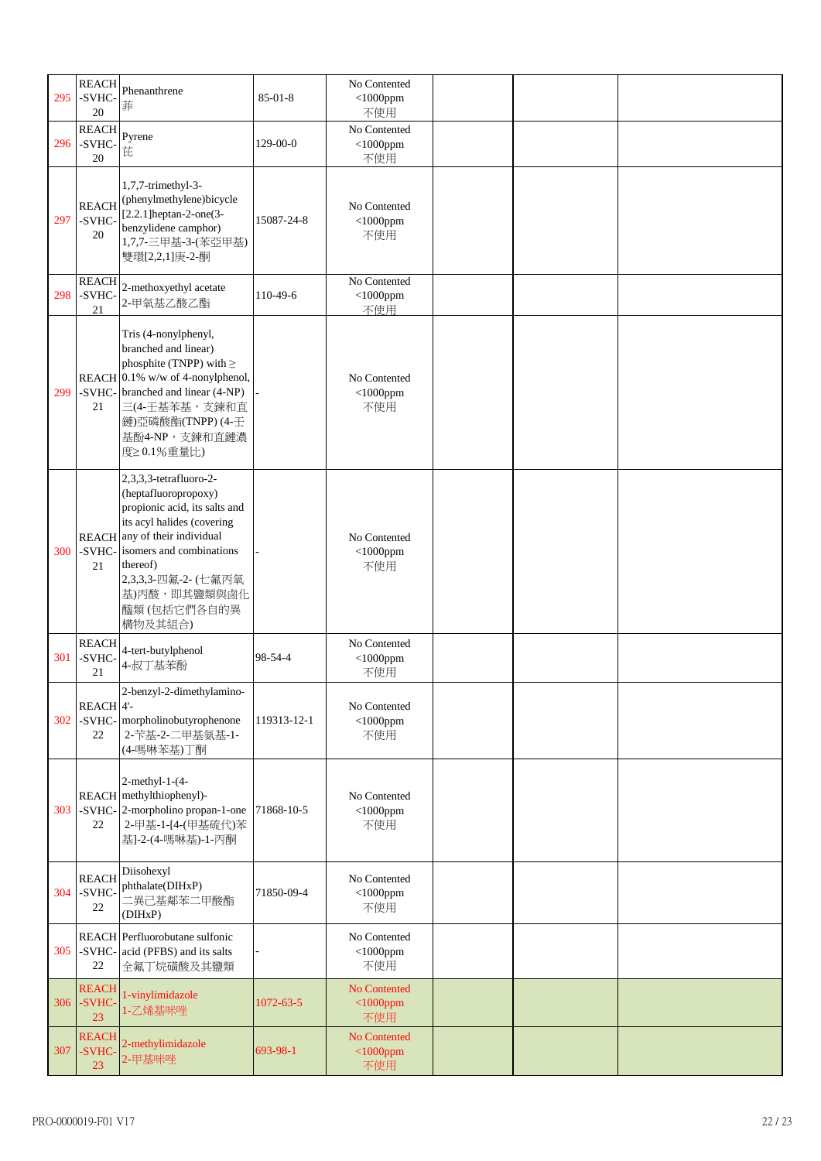| 295 | <b>REACH</b><br>-SVHC-<br>20         | Phenanthrene<br>菲                                                                                                                                                                                                                                              | $85 - 01 - 8$   | No Contented<br>$<$ 1000ppm<br>不使用 |  |  |
|-----|--------------------------------------|----------------------------------------------------------------------------------------------------------------------------------------------------------------------------------------------------------------------------------------------------------------|-----------------|------------------------------------|--|--|
| 296 | <b>REACH</b><br>-SVHC-<br>20         | Pyrene<br>芘                                                                                                                                                                                                                                                    | 129-00-0        | No Contented<br>$<$ 1000ppm<br>不使用 |  |  |
| 297 | <b>REACH</b><br>-SVHC-<br>20         | 1,7,7-trimethyl-3-<br>(phenylmethylene)bicycle<br>$[2.2.1]$ heptan-2-one $(3-$<br>benzylidene camphor)<br>1,7,7-三甲基-3-(苯亞甲基)<br>雙環[2,2,1]庚-2-酮                                                                                                                 | 15087-24-8      | No Contented<br>$<$ 1000ppm<br>不使用 |  |  |
| 298 | <b>REACH</b><br>-SVHC-<br>21         | 2-methoxyethyl acetate<br>2-甲氧基乙酸乙酯                                                                                                                                                                                                                            | 110-49-6        | No Contented<br>$<$ 1000ppm<br>不使用 |  |  |
| 299 | 21                                   | Tris (4-nonylphenyl,<br>branched and linear)<br>phosphite (TNPP) with $\geq$<br>REACH $0.1\%$ w/w of 4-nonylphenol,<br>-SVHC- branched and linear (4-NP)<br>三(4-壬基苯基,支鍊和直<br>鏈)亞磷酸酯(TNPP) (4-壬<br>基酚4-NP,支鍊和直鏈濃<br>度20.1%重量比)                                  |                 | No Contented<br>$<$ 1000ppm<br>不使用 |  |  |
| 300 | 21                                   | 2,3,3,3-tetrafluoro-2-<br>(heptafluoropropoxy)<br>propionic acid, its salts and<br>its acyl halides (covering<br>REACH any of their individual<br>-SVHC- isomers and combinations<br>thereof)<br>2,3,3,3-四氟-2- (七氟丙氧<br>基)丙酸,即其鹽類與鹵化<br>醯類(包括它們各自的異<br>構物及其組合) |                 | No Contented<br>$<$ 1000ppm<br>不使用 |  |  |
| 301 | <b>REACH</b><br>-SVHC-<br>21         | 4-tert-butylphenol<br>4-叔丁基苯酚                                                                                                                                                                                                                                  | 98-54-4         | No Contented<br>$<$ 1000ppm<br>不使用 |  |  |
| 302 | REACH <sup>4'-</sup><br>-SVHC-<br>22 | 2-benzyl-2-dimethylamino-<br>morpholinobutyrophenone<br>2-苄基-2-二甲基氨基-1-<br>(4-嗎啉苯基)丁酮                                                                                                                                                                          | 119313-12-1     | No Contented<br>$<$ 1000ppm<br>不使用 |  |  |
| 303 | 22                                   | $2$ -methyl-1- $(4-$<br>REACH methylthiophenyl)-<br>-SVHC-2-morpholino propan-1-one<br>2-甲基-1-[4-(甲基硫代)苯<br>基]-2-(4-嗎啉基)-1-丙酮                                                                                                                                  | 71868-10-5      | No Contented<br>$<$ 1000ppm<br>不使用 |  |  |
| 304 | <b>REACH</b><br>-SVHC-<br>22         | Diisohexyl<br>phthalate(DIHxP)<br>二異己基鄰苯二甲酸酯<br>(DIHxP)                                                                                                                                                                                                        | 71850-09-4      | No Contented<br>$<$ 1000ppm<br>不使用 |  |  |
| 305 | 22                                   | REACH Perfluorobutane sulfonic<br>-SVHC-acid (PFBS) and its salts<br>全氟丁烷磺酸及其鹽類                                                                                                                                                                                |                 | No Contented<br>$<$ 1000ppm<br>不使用 |  |  |
| 306 | <b>REACH</b><br>-SVHC-<br>23         | 1-vinylimidazole<br>1-乙烯基咪唑                                                                                                                                                                                                                                    | $1072 - 63 - 5$ | No Contented<br>$<$ 1000ppm<br>不使用 |  |  |
| 307 | <b>REACH</b><br>-SVHC-<br>23         | 2-methylimidazole<br>2-甲基咪唑                                                                                                                                                                                                                                    | 693-98-1        | No Contented<br>$<$ 1000ppm<br>不使用 |  |  |